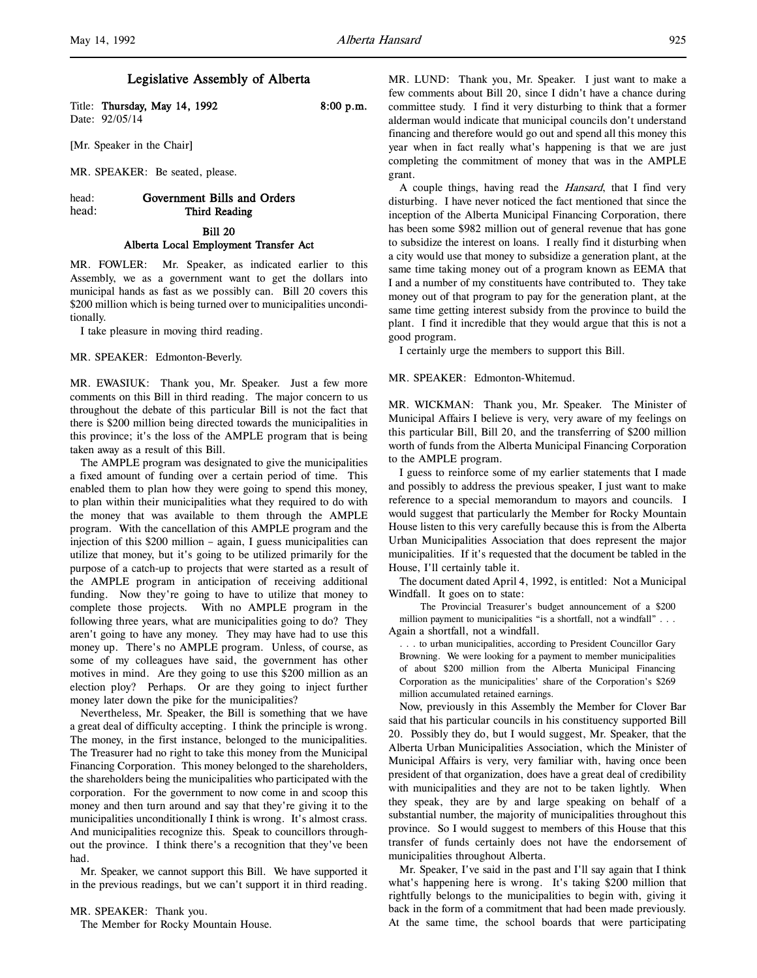l,

# Legislative Assembly of Alberta

Title: Thursday, May 14, 1992 8:00 p.m. Date: 92/05/14

[Mr. Speaker in the Chair]

MR. SPEAKER: Be seated, please.

# head: Government Bills and Orders head: Third Reading

# Bill 20

## Alberta Local Employment Transfer Act

MR. FOWLER: Mr. Speaker, as indicated earlier to this Assembly, we as a government want to get the dollars into municipal hands as fast as we possibly can. Bill 20 covers this \$200 million which is being turned over to municipalities unconditionally.

I take pleasure in moving third reading.

MR. SPEAKER: Edmonton-Beverly.

MR. EWASIUK: Thank you, Mr. Speaker. Just a few more comments on this Bill in third reading. The major concern to us throughout the debate of this particular Bill is not the fact that there is \$200 million being directed towards the municipalities in this province; it's the loss of the AMPLE program that is being taken away as a result of this Bill.

The AMPLE program was designated to give the municipalities a fixed amount of funding over a certain period of time. This enabled them to plan how they were going to spend this money, to plan within their municipalities what they required to do with the money that was available to them through the AMPLE program. With the cancellation of this AMPLE program and the injection of this \$200 million – again, I guess municipalities can utilize that money, but it's going to be utilized primarily for the purpose of a catch-up to projects that were started as a result of the AMPLE program in anticipation of receiving additional funding. Now they're going to have to utilize that money to complete those projects. With no AMPLE program in the following three years, what are municipalities going to do? They aren't going to have any money. They may have had to use this money up. There's no AMPLE program. Unless, of course, as some of my colleagues have said, the government has other motives in mind. Are they going to use this \$200 million as an election ploy? Perhaps. Or are they going to inject further money later down the pike for the municipalities?

Nevertheless, Mr. Speaker, the Bill is something that we have a great deal of difficulty accepting. I think the principle is wrong. The money, in the first instance, belonged to the municipalities. The Treasurer had no right to take this money from the Municipal Financing Corporation. This money belonged to the shareholders, the shareholders being the municipalities who participated with the corporation. For the government to now come in and scoop this money and then turn around and say that they're giving it to the municipalities unconditionally I think is wrong. It's almost crass. And municipalities recognize this. Speak to councillors throughout the province. I think there's a recognition that they've been had.

Mr. Speaker, we cannot support this Bill. We have supported it in the previous readings, but we can't support it in third reading.

MR. SPEAKER: Thank you.

The Member for Rocky Mountain House.

MR. LUND: Thank you, Mr. Speaker. I just want to make a few comments about Bill 20, since I didn't have a chance during committee study. I find it very disturbing to think that a former alderman would indicate that municipal councils don't understand financing and therefore would go out and spend all this money this year when in fact really what's happening is that we are just completing the commitment of money that was in the AMPLE grant.

A couple things, having read the Hansard, that I find very disturbing. I have never noticed the fact mentioned that since the inception of the Alberta Municipal Financing Corporation, there has been some \$982 million out of general revenue that has gone to subsidize the interest on loans. I really find it disturbing when a city would use that money to subsidize a generation plant, at the same time taking money out of a program known as EEMA that I and a number of my constituents have contributed to. They take money out of that program to pay for the generation plant, at the same time getting interest subsidy from the province to build the plant. I find it incredible that they would argue that this is not a good program.

I certainly urge the members to support this Bill.

### MR. SPEAKER: Edmonton-Whitemud.

MR. WICKMAN: Thank you, Mr. Speaker. The Minister of Municipal Affairs I believe is very, very aware of my feelings on this particular Bill, Bill 20, and the transferring of \$200 million worth of funds from the Alberta Municipal Financing Corporation to the AMPLE program.

I guess to reinforce some of my earlier statements that I made and possibly to address the previous speaker, I just want to make reference to a special memorandum to mayors and councils. I would suggest that particularly the Member for Rocky Mountain House listen to this very carefully because this is from the Alberta Urban Municipalities Association that does represent the major municipalities. If it's requested that the document be tabled in the House, I'll certainly table it.

The document dated April 4, 1992, is entitled: Not a Municipal Windfall. It goes on to state:

The Provincial Treasurer's budget announcement of a \$200 million payment to municipalities "is a shortfall, not a windfall" . . . Again a shortfall, not a windfall.

. . . to urban municipalities, according to President Councillor Gary Browning. We were looking for a payment to member municipalities of about \$200 million from the Alberta Municipal Financing Corporation as the municipalities' share of the Corporation's \$269 million accumulated retained earnings.

Now, previously in this Assembly the Member for Clover Bar said that his particular councils in his constituency supported Bill 20. Possibly they do, but I would suggest, Mr. Speaker, that the Alberta Urban Municipalities Association, which the Minister of Municipal Affairs is very, very familiar with, having once been president of that organization, does have a great deal of credibility with municipalities and they are not to be taken lightly. When they speak, they are by and large speaking on behalf of a substantial number, the majority of municipalities throughout this province. So I would suggest to members of this House that this transfer of funds certainly does not have the endorsement of municipalities throughout Alberta.

Mr. Speaker, I've said in the past and I'll say again that I think what's happening here is wrong. It's taking \$200 million that rightfully belongs to the municipalities to begin with, giving it back in the form of a commitment that had been made previously. At the same time, the school boards that were participating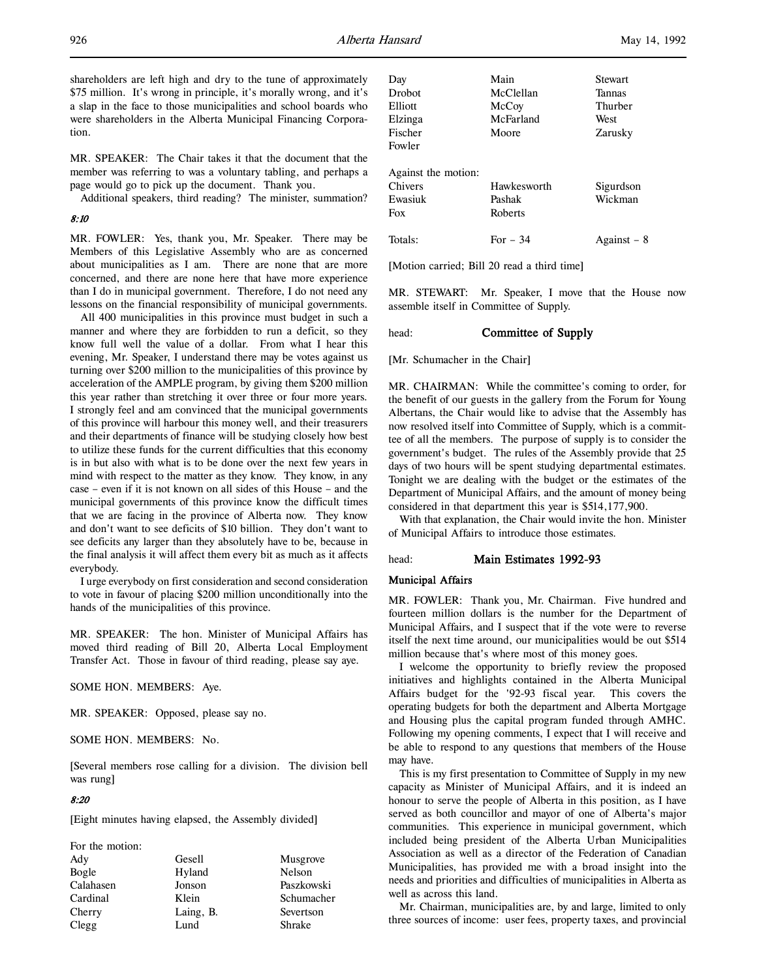shareholders are left high and dry to the tune of approximately \$75 million. It's wrong in principle, it's morally wrong, and it's a slap in the face to those municipalities and school boards who were shareholders in the Alberta Municipal Financing Corporation.

MR. SPEAKER: The Chair takes it that the document that the member was referring to was a voluntary tabling, and perhaps a page would go to pick up the document. Thank you.

Additional speakers, third reading? The minister, summation?

### 8:10

MR. FOWLER: Yes, thank you, Mr. Speaker. There may be Members of this Legislative Assembly who are as concerned about municipalities as I am. There are none that are more concerned, and there are none here that have more experience than I do in municipal government. Therefore, I do not need any lessons on the financial responsibility of municipal governments.

All 400 municipalities in this province must budget in such a manner and where they are forbidden to run a deficit, so they know full well the value of a dollar. From what I hear this evening, Mr. Speaker, I understand there may be votes against us turning over \$200 million to the municipalities of this province by acceleration of the AMPLE program, by giving them \$200 million this year rather than stretching it over three or four more years. I strongly feel and am convinced that the municipal governments of this province will harbour this money well, and their treasurers and their departments of finance will be studying closely how best to utilize these funds for the current difficulties that this economy is in but also with what is to be done over the next few years in mind with respect to the matter as they know. They know, in any case – even if it is not known on all sides of this House – and the municipal governments of this province know the difficult times that we are facing in the province of Alberta now. They know and don't want to see deficits of \$10 billion. They don't want to see deficits any larger than they absolutely have to be, because in the final analysis it will affect them every bit as much as it affects everybody.

I urge everybody on first consideration and second consideration to vote in favour of placing \$200 million unconditionally into the hands of the municipalities of this province.

MR. SPEAKER: The hon. Minister of Municipal Affairs has moved third reading of Bill 20, Alberta Local Employment Transfer Act. Those in favour of third reading, please say aye.

SOME HON. MEMBERS: Aye.

MR. SPEAKER: Opposed, please say no.

SOME HON. MEMBERS: No.

[Several members rose calling for a division. The division bell was rung]

### 8:20

[Eight minutes having elapsed, the Assembly divided]

| For the motion: |           |            |
|-----------------|-----------|------------|
| Ady             | Gesell    | Musgrove   |
| Bogle           | Hyland    | Nelson     |
| Calahasen       | Jonson    | Paszkowski |
| Cardinal        | Klein     | Schumacher |
| Cherry          | Laing, B. | Severtson  |
| Clegg           | Lund      | Shrake     |

| Day                 | Main        | Stewart     |
|---------------------|-------------|-------------|
| <b>Drobot</b>       | McClellan   | Tannas      |
| Elliott             | McCoy       | Thurber     |
| Elzinga             | McFarland   | West        |
| Fischer             | Moore       | Zarusky     |
| Fowler              |             |             |
| Against the motion: |             |             |
| Chivers             | Hawkesworth | Sigurdson   |
| Ewasiuk             | Pashak      | Wickman     |
| Fox                 | Roberts     |             |
| Totals:             | For $-34$   | Against – 8 |

[Motion carried; Bill 20 read a third time]

MR. STEWART: Mr. Speaker, I move that the House now assemble itself in Committee of Supply.

# head: **Committee of Supply**

[Mr. Schumacher in the Chair]

MR. CHAIRMAN: While the committee's coming to order, for the benefit of our guests in the gallery from the Forum for Young Albertans, the Chair would like to advise that the Assembly has now resolved itself into Committee of Supply, which is a committee of all the members. The purpose of supply is to consider the government's budget. The rules of the Assembly provide that 25 days of two hours will be spent studying departmental estimates. Tonight we are dealing with the budget or the estimates of the Department of Municipal Affairs, and the amount of money being considered in that department this year is \$514,177,900.

With that explanation, the Chair would invite the hon. Minister of Municipal Affairs to introduce those estimates.

# head: Main Estimates 1992-93

## Municipal Affairs

MR. FOWLER: Thank you, Mr. Chairman. Five hundred and fourteen million dollars is the number for the Department of Municipal Affairs, and I suspect that if the vote were to reverse itself the next time around, our municipalities would be out \$514 million because that's where most of this money goes.

I welcome the opportunity to briefly review the proposed initiatives and highlights contained in the Alberta Municipal Affairs budget for the '92-93 fiscal year. This covers the operating budgets for both the department and Alberta Mortgage and Housing plus the capital program funded through AMHC. Following my opening comments, I expect that I will receive and be able to respond to any questions that members of the House may have.

This is my first presentation to Committee of Supply in my new capacity as Minister of Municipal Affairs, and it is indeed an honour to serve the people of Alberta in this position, as I have served as both councillor and mayor of one of Alberta's major communities. This experience in municipal government, which included being president of the Alberta Urban Municipalities Association as well as a director of the Federation of Canadian Municipalities, has provided me with a broad insight into the needs and priorities and difficulties of municipalities in Alberta as well as across this land.

Mr. Chairman, municipalities are, by and large, limited to only three sources of income: user fees, property taxes, and provincial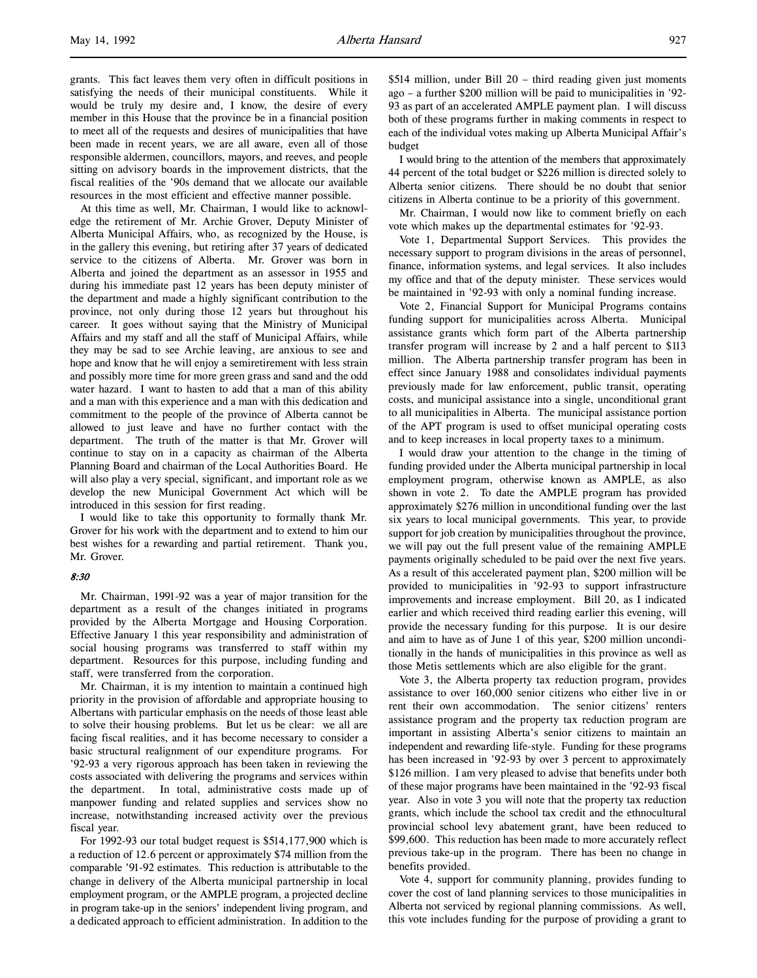grants. This fact leaves them very often in difficult positions in satisfying the needs of their municipal constituents. While it would be truly my desire and, I know, the desire of every member in this House that the province be in a financial position to meet all of the requests and desires of municipalities that have been made in recent years, we are all aware, even all of those responsible aldermen, councillors, mayors, and reeves, and people sitting on advisory boards in the improvement districts, that the fiscal realities of the '90s demand that we allocate our available resources in the most efficient and effective manner possible.

At this time as well, Mr. Chairman, I would like to acknowledge the retirement of Mr. Archie Grover, Deputy Minister of Alberta Municipal Affairs, who, as recognized by the House, is in the gallery this evening, but retiring after 37 years of dedicated service to the citizens of Alberta. Mr. Grover was born in Alberta and joined the department as an assessor in 1955 and during his immediate past 12 years has been deputy minister of the department and made a highly significant contribution to the province, not only during those 12 years but throughout his career. It goes without saying that the Ministry of Municipal Affairs and my staff and all the staff of Municipal Affairs, while they may be sad to see Archie leaving, are anxious to see and hope and know that he will enjoy a semiretirement with less strain and possibly more time for more green grass and sand and the odd water hazard. I want to hasten to add that a man of this ability and a man with this experience and a man with this dedication and commitment to the people of the province of Alberta cannot be allowed to just leave and have no further contact with the department. The truth of the matter is that Mr. Grover will continue to stay on in a capacity as chairman of the Alberta Planning Board and chairman of the Local Authorities Board. He will also play a very special, significant, and important role as we develop the new Municipal Government Act which will be introduced in this session for first reading.

I would like to take this opportunity to formally thank Mr. Grover for his work with the department and to extend to him our best wishes for a rewarding and partial retirement. Thank you, Mr. Grover.

#### 8:30

Mr. Chairman, 1991-92 was a year of major transition for the department as a result of the changes initiated in programs provided by the Alberta Mortgage and Housing Corporation. Effective January 1 this year responsibility and administration of social housing programs was transferred to staff within my department. Resources for this purpose, including funding and staff, were transferred from the corporation.

Mr. Chairman, it is my intention to maintain a continued high priority in the provision of affordable and appropriate housing to Albertans with particular emphasis on the needs of those least able to solve their housing problems. But let us be clear: we all are facing fiscal realities, and it has become necessary to consider a basic structural realignment of our expenditure programs. For '92-93 a very rigorous approach has been taken in reviewing the costs associated with delivering the programs and services within the department. In total, administrative costs made up of manpower funding and related supplies and services show no increase, notwithstanding increased activity over the previous fiscal year.

For 1992-93 our total budget request is \$514,177,900 which is a reduction of 12.6 percent or approximately \$74 million from the comparable '91-92 estimates. This reduction is attributable to the change in delivery of the Alberta municipal partnership in local employment program, or the AMPLE program, a projected decline in program take-up in the seniors' independent living program, and a dedicated approach to efficient administration. In addition to the

\$514 million, under Bill 20 – third reading given just moments ago – a further \$200 million will be paid to municipalities in '92- 93 as part of an accelerated AMPLE payment plan. I will discuss both of these programs further in making comments in respect to each of the individual votes making up Alberta Municipal Affair's budget

I would bring to the attention of the members that approximately 44 percent of the total budget or \$226 million is directed solely to Alberta senior citizens. There should be no doubt that senior citizens in Alberta continue to be a priority of this government.

Mr. Chairman, I would now like to comment briefly on each vote which makes up the departmental estimates for '92-93.

Vote 1, Departmental Support Services. This provides the necessary support to program divisions in the areas of personnel, finance, information systems, and legal services. It also includes my office and that of the deputy minister. These services would be maintained in '92-93 with only a nominal funding increase.

Vote 2, Financial Support for Municipal Programs contains funding support for municipalities across Alberta. Municipal assistance grants which form part of the Alberta partnership transfer program will increase by 2 and a half percent to \$113 million. The Alberta partnership transfer program has been in effect since January 1988 and consolidates individual payments previously made for law enforcement, public transit, operating costs, and municipal assistance into a single, unconditional grant to all municipalities in Alberta. The municipal assistance portion of the APT program is used to offset municipal operating costs and to keep increases in local property taxes to a minimum.

I would draw your attention to the change in the timing of funding provided under the Alberta municipal partnership in local employment program, otherwise known as AMPLE, as also shown in vote 2. To date the AMPLE program has provided approximately \$276 million in unconditional funding over the last six years to local municipal governments. This year, to provide support for job creation by municipalities throughout the province, we will pay out the full present value of the remaining AMPLE payments originally scheduled to be paid over the next five years. As a result of this accelerated payment plan, \$200 million will be provided to municipalities in '92-93 to support infrastructure improvements and increase employment. Bill 20, as I indicated earlier and which received third reading earlier this evening, will provide the necessary funding for this purpose. It is our desire and aim to have as of June 1 of this year, \$200 million unconditionally in the hands of municipalities in this province as well as those Metis settlements which are also eligible for the grant.

Vote 3, the Alberta property tax reduction program, provides assistance to over 160,000 senior citizens who either live in or rent their own accommodation. The senior citizens' renters assistance program and the property tax reduction program are important in assisting Alberta's senior citizens to maintain an independent and rewarding life-style. Funding for these programs has been increased in '92-93 by over 3 percent to approximately \$126 million. I am very pleased to advise that benefits under both of these major programs have been maintained in the '92-93 fiscal year. Also in vote 3 you will note that the property tax reduction grants, which include the school tax credit and the ethnocultural provincial school levy abatement grant, have been reduced to \$99,600. This reduction has been made to more accurately reflect previous take-up in the program. There has been no change in benefits provided.

Vote 4, support for community planning, provides funding to cover the cost of land planning services to those municipalities in Alberta not serviced by regional planning commissions. As well, this vote includes funding for the purpose of providing a grant to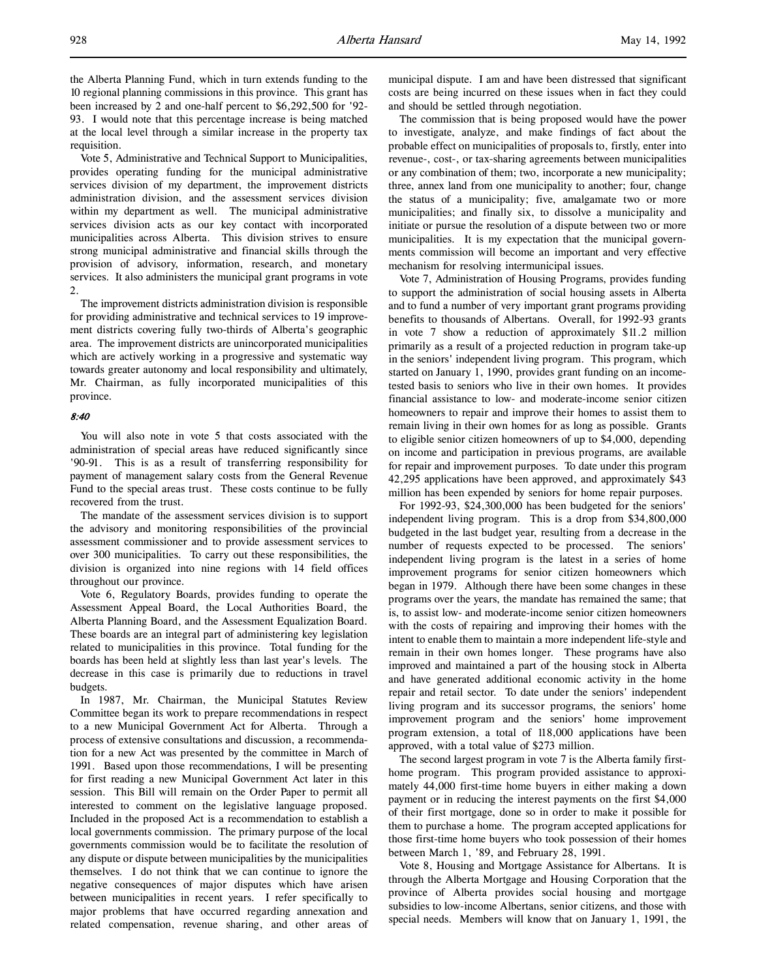the Alberta Planning Fund, which in turn extends funding to the 10 regional planning commissions in this province. This grant has been increased by 2 and one-half percent to \$6,292,500 for '92- 93. I would note that this percentage increase is being matched at the local level through a similar increase in the property tax requisition.

Vote 5, Administrative and Technical Support to Municipalities, provides operating funding for the municipal administrative services division of my department, the improvement districts administration division, and the assessment services division within my department as well. The municipal administrative services division acts as our key contact with incorporated municipalities across Alberta. This division strives to ensure strong municipal administrative and financial skills through the provision of advisory, information, research, and monetary services. It also administers the municipal grant programs in vote 2.

The improvement districts administration division is responsible for providing administrative and technical services to 19 improvement districts covering fully two-thirds of Alberta's geographic area. The improvement districts are unincorporated municipalities which are actively working in a progressive and systematic way towards greater autonomy and local responsibility and ultimately, Mr. Chairman, as fully incorporated municipalities of this province.

#### 8:40

You will also note in vote 5 that costs associated with the administration of special areas have reduced significantly since '90-91. This is as a result of transferring responsibility for payment of management salary costs from the General Revenue Fund to the special areas trust. These costs continue to be fully recovered from the trust.

The mandate of the assessment services division is to support the advisory and monitoring responsibilities of the provincial assessment commissioner and to provide assessment services to over 300 municipalities. To carry out these responsibilities, the division is organized into nine regions with 14 field offices throughout our province.

Vote 6, Regulatory Boards, provides funding to operate the Assessment Appeal Board, the Local Authorities Board, the Alberta Planning Board, and the Assessment Equalization Board. These boards are an integral part of administering key legislation related to municipalities in this province. Total funding for the boards has been held at slightly less than last year's levels. The decrease in this case is primarily due to reductions in travel budgets.

In 1987, Mr. Chairman, the Municipal Statutes Review Committee began its work to prepare recommendations in respect to a new Municipal Government Act for Alberta. Through a process of extensive consultations and discussion, a recommendation for a new Act was presented by the committee in March of 1991. Based upon those recommendations, I will be presenting for first reading a new Municipal Government Act later in this session. This Bill will remain on the Order Paper to permit all interested to comment on the legislative language proposed. Included in the proposed Act is a recommendation to establish a local governments commission. The primary purpose of the local governments commission would be to facilitate the resolution of any dispute or dispute between municipalities by the municipalities themselves. I do not think that we can continue to ignore the negative consequences of major disputes which have arisen between municipalities in recent years. I refer specifically to major problems that have occurred regarding annexation and related compensation, revenue sharing, and other areas of municipal dispute. I am and have been distressed that significant costs are being incurred on these issues when in fact they could and should be settled through negotiation.

The commission that is being proposed would have the power to investigate, analyze, and make findings of fact about the probable effect on municipalities of proposals to, firstly, enter into revenue-, cost-, or tax-sharing agreements between municipalities or any combination of them; two, incorporate a new municipality; three, annex land from one municipality to another; four, change the status of a municipality; five, amalgamate two or more municipalities; and finally six, to dissolve a municipality and initiate or pursue the resolution of a dispute between two or more municipalities. It is my expectation that the municipal governments commission will become an important and very effective mechanism for resolving intermunicipal issues.

Vote 7, Administration of Housing Programs, provides funding to support the administration of social housing assets in Alberta and to fund a number of very important grant programs providing benefits to thousands of Albertans. Overall, for 1992-93 grants in vote 7 show a reduction of approximately \$11.2 million primarily as a result of a projected reduction in program take-up in the seniors' independent living program. This program, which started on January 1, 1990, provides grant funding on an incometested basis to seniors who live in their own homes. It provides financial assistance to low- and moderate-income senior citizen homeowners to repair and improve their homes to assist them to remain living in their own homes for as long as possible. Grants to eligible senior citizen homeowners of up to \$4,000, depending on income and participation in previous programs, are available for repair and improvement purposes. To date under this program 42,295 applications have been approved, and approximately \$43 million has been expended by seniors for home repair purposes.

For 1992-93, \$24,300,000 has been budgeted for the seniors' independent living program. This is a drop from \$34,800,000 budgeted in the last budget year, resulting from a decrease in the number of requests expected to be processed. The seniors' independent living program is the latest in a series of home improvement programs for senior citizen homeowners which began in 1979. Although there have been some changes in these programs over the years, the mandate has remained the same; that is, to assist low- and moderate-income senior citizen homeowners with the costs of repairing and improving their homes with the intent to enable them to maintain a more independent life-style and remain in their own homes longer. These programs have also improved and maintained a part of the housing stock in Alberta and have generated additional economic activity in the home repair and retail sector. To date under the seniors' independent living program and its successor programs, the seniors' home improvement program and the seniors' home improvement program extension, a total of 118,000 applications have been approved, with a total value of \$273 million.

The second largest program in vote 7 is the Alberta family firsthome program. This program provided assistance to approximately 44,000 first-time home buyers in either making a down payment or in reducing the interest payments on the first \$4,000 of their first mortgage, done so in order to make it possible for them to purchase a home. The program accepted applications for those first-time home buyers who took possession of their homes between March 1, '89, and February 28, 1991.

Vote 8, Housing and Mortgage Assistance for Albertans. It is through the Alberta Mortgage and Housing Corporation that the province of Alberta provides social housing and mortgage subsidies to low-income Albertans, senior citizens, and those with special needs. Members will know that on January 1, 1991, the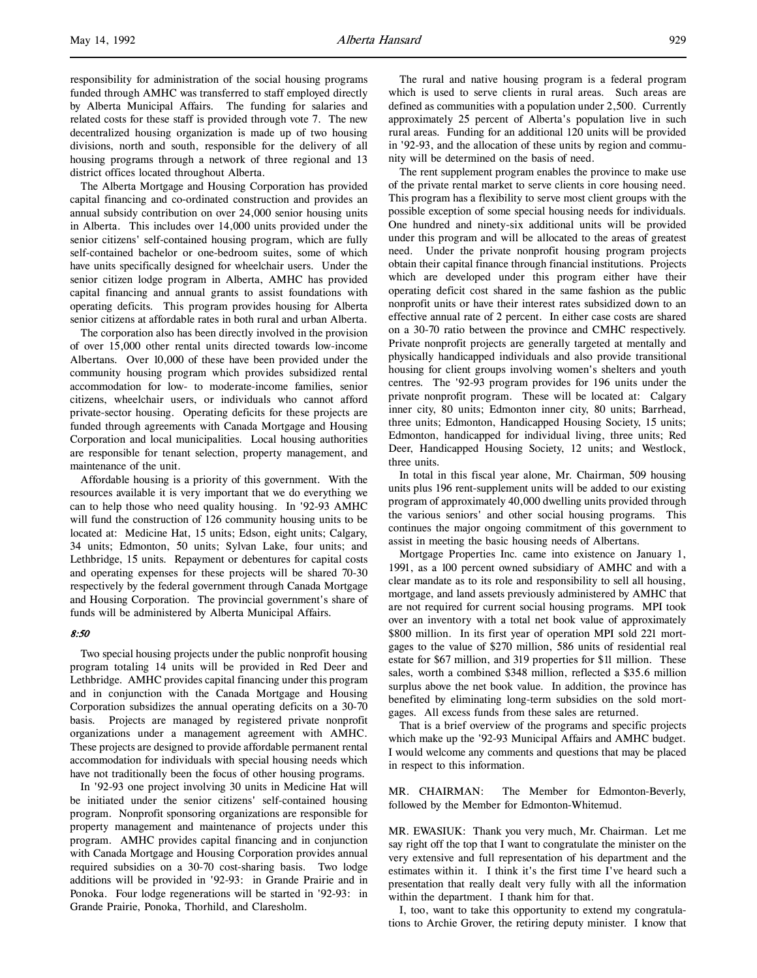responsibility for administration of the social housing programs funded through AMHC was transferred to staff employed directly by Alberta Municipal Affairs. The funding for salaries and related costs for these staff is provided through vote 7. The new decentralized housing organization is made up of two housing divisions, north and south, responsible for the delivery of all housing programs through a network of three regional and 13 district offices located throughout Alberta.

The Alberta Mortgage and Housing Corporation has provided capital financing and co-ordinated construction and provides an annual subsidy contribution on over 24,000 senior housing units in Alberta. This includes over 14,000 units provided under the senior citizens' self-contained housing program, which are fully self-contained bachelor or one-bedroom suites, some of which have units specifically designed for wheelchair users. Under the senior citizen lodge program in Alberta, AMHC has provided capital financing and annual grants to assist foundations with operating deficits. This program provides housing for Alberta senior citizens at affordable rates in both rural and urban Alberta.

The corporation also has been directly involved in the provision of over 15,000 other rental units directed towards low-income Albertans. Over 10,000 of these have been provided under the community housing program which provides subsidized rental accommodation for low- to moderate-income families, senior citizens, wheelchair users, or individuals who cannot afford private-sector housing. Operating deficits for these projects are funded through agreements with Canada Mortgage and Housing Corporation and local municipalities. Local housing authorities are responsible for tenant selection, property management, and maintenance of the unit.

Affordable housing is a priority of this government. With the resources available it is very important that we do everything we can to help those who need quality housing. In '92-93 AMHC will fund the construction of 126 community housing units to be located at: Medicine Hat, 15 units; Edson, eight units; Calgary, 34 units; Edmonton, 50 units; Sylvan Lake, four units; and Lethbridge, 15 units. Repayment or debentures for capital costs and operating expenses for these projects will be shared 70-30 respectively by the federal government through Canada Mortgage and Housing Corporation. The provincial government's share of funds will be administered by Alberta Municipal Affairs.

# 8:50

Two special housing projects under the public nonprofit housing program totaling 14 units will be provided in Red Deer and Lethbridge. AMHC provides capital financing under this program and in conjunction with the Canada Mortgage and Housing Corporation subsidizes the annual operating deficits on a 30-70 basis. Projects are managed by registered private nonprofit organizations under a management agreement with AMHC. These projects are designed to provide affordable permanent rental accommodation for individuals with special housing needs which have not traditionally been the focus of other housing programs.

In '92-93 one project involving 30 units in Medicine Hat will be initiated under the senior citizens' self-contained housing program. Nonprofit sponsoring organizations are responsible for property management and maintenance of projects under this program. AMHC provides capital financing and in conjunction with Canada Mortgage and Housing Corporation provides annual required subsidies on a 30-70 cost-sharing basis. Two lodge additions will be provided in '92-93: in Grande Prairie and in Ponoka. Four lodge regenerations will be started in '92-93: in Grande Prairie, Ponoka, Thorhild, and Claresholm.

The rural and native housing program is a federal program which is used to serve clients in rural areas. Such areas are defined as communities with a population under 2,500. Currently approximately 25 percent of Alberta's population live in such rural areas. Funding for an additional 120 units will be provided in '92-93, and the allocation of these units by region and community will be determined on the basis of need.

The rent supplement program enables the province to make use of the private rental market to serve clients in core housing need. This program has a flexibility to serve most client groups with the possible exception of some special housing needs for individuals. One hundred and ninety-six additional units will be provided under this program and will be allocated to the areas of greatest need. Under the private nonprofit housing program projects obtain their capital finance through financial institutions. Projects which are developed under this program either have their operating deficit cost shared in the same fashion as the public nonprofit units or have their interest rates subsidized down to an effective annual rate of 2 percent. In either case costs are shared on a 30-70 ratio between the province and CMHC respectively. Private nonprofit projects are generally targeted at mentally and physically handicapped individuals and also provide transitional housing for client groups involving women's shelters and youth centres. The '92-93 program provides for 196 units under the private nonprofit program. These will be located at: Calgary inner city, 80 units; Edmonton inner city, 80 units; Barrhead, three units; Edmonton, Handicapped Housing Society, 15 units; Edmonton, handicapped for individual living, three units; Red Deer, Handicapped Housing Society, 12 units; and Westlock, three units.

In total in this fiscal year alone, Mr. Chairman, 509 housing units plus 196 rent-supplement units will be added to our existing program of approximately 40,000 dwelling units provided through the various seniors' and other social housing programs. This continues the major ongoing commitment of this government to assist in meeting the basic housing needs of Albertans.

Mortgage Properties Inc. came into existence on January 1, 1991, as a 100 percent owned subsidiary of AMHC and with a clear mandate as to its role and responsibility to sell all housing, mortgage, and land assets previously administered by AMHC that are not required for current social housing programs. MPI took over an inventory with a total net book value of approximately \$800 million. In its first year of operation MPI sold 221 mortgages to the value of \$270 million, 586 units of residential real estate for \$67 million, and 319 properties for \$11 million. These sales, worth a combined \$348 million, reflected a \$35.6 million surplus above the net book value. In addition, the province has benefited by eliminating long-term subsidies on the sold mortgages. All excess funds from these sales are returned.

That is a brief overview of the programs and specific projects which make up the '92-93 Municipal Affairs and AMHC budget. I would welcome any comments and questions that may be placed in respect to this information.

MR. CHAIRMAN: The Member for Edmonton-Beverly, followed by the Member for Edmonton-Whitemud.

MR. EWASIUK: Thank you very much, Mr. Chairman. Let me say right off the top that I want to congratulate the minister on the very extensive and full representation of his department and the estimates within it. I think it's the first time I've heard such a presentation that really dealt very fully with all the information within the department. I thank him for that.

I, too, want to take this opportunity to extend my congratulations to Archie Grover, the retiring deputy minister. I know that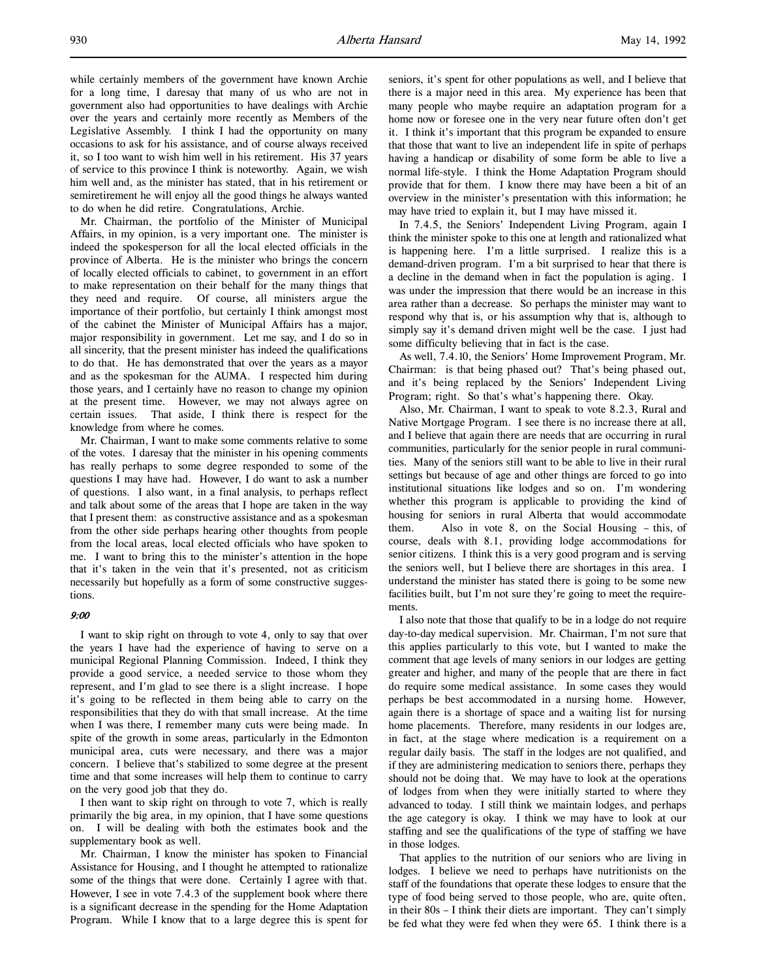while certainly members of the government have known Archie for a long time, I daresay that many of us who are not in government also had opportunities to have dealings with Archie over the years and certainly more recently as Members of the Legislative Assembly. I think I had the opportunity on many occasions to ask for his assistance, and of course always received it, so I too want to wish him well in his retirement. His 37 years of service to this province I think is noteworthy. Again, we wish him well and, as the minister has stated, that in his retirement or semiretirement he will enjoy all the good things he always wanted to do when he did retire. Congratulations, Archie.

Mr. Chairman, the portfolio of the Minister of Municipal Affairs, in my opinion, is a very important one. The minister is indeed the spokesperson for all the local elected officials in the province of Alberta. He is the minister who brings the concern of locally elected officials to cabinet, to government in an effort to make representation on their behalf for the many things that they need and require. Of course, all ministers argue the importance of their portfolio, but certainly I think amongst most of the cabinet the Minister of Municipal Affairs has a major, major responsibility in government. Let me say, and I do so in all sincerity, that the present minister has indeed the qualifications to do that. He has demonstrated that over the years as a mayor and as the spokesman for the AUMA. I respected him during those years, and I certainly have no reason to change my opinion at the present time. However, we may not always agree on certain issues. That aside, I think there is respect for the knowledge from where he comes.

Mr. Chairman, I want to make some comments relative to some of the votes. I daresay that the minister in his opening comments has really perhaps to some degree responded to some of the questions I may have had. However, I do want to ask a number of questions. I also want, in a final analysis, to perhaps reflect and talk about some of the areas that I hope are taken in the way that I present them: as constructive assistance and as a spokesman from the other side perhaps hearing other thoughts from people from the local areas, local elected officials who have spoken to me. I want to bring this to the minister's attention in the hope that it's taken in the vein that it's presented, not as criticism necessarily but hopefully as a form of some constructive suggestions.

#### 9:00

I want to skip right on through to vote 4, only to say that over the years I have had the experience of having to serve on a municipal Regional Planning Commission. Indeed, I think they provide a good service, a needed service to those whom they represent, and I'm glad to see there is a slight increase. I hope it's going to be reflected in them being able to carry on the responsibilities that they do with that small increase. At the time when I was there, I remember many cuts were being made. In spite of the growth in some areas, particularly in the Edmonton municipal area, cuts were necessary, and there was a major concern. I believe that's stabilized to some degree at the present time and that some increases will help them to continue to carry on the very good job that they do.

I then want to skip right on through to vote 7, which is really primarily the big area, in my opinion, that I have some questions on. I will be dealing with both the estimates book and the supplementary book as well.

Mr. Chairman, I know the minister has spoken to Financial Assistance for Housing, and I thought he attempted to rationalize some of the things that were done. Certainly I agree with that. However, I see in vote 7.4.3 of the supplement book where there is a significant decrease in the spending for the Home Adaptation Program. While I know that to a large degree this is spent for

seniors, it's spent for other populations as well, and I believe that there is a major need in this area. My experience has been that many people who maybe require an adaptation program for a home now or foresee one in the very near future often don't get it. I think it's important that this program be expanded to ensure that those that want to live an independent life in spite of perhaps having a handicap or disability of some form be able to live a normal life-style. I think the Home Adaptation Program should provide that for them. I know there may have been a bit of an overview in the minister's presentation with this information; he may have tried to explain it, but I may have missed it.

In 7.4.5, the Seniors' Independent Living Program, again I think the minister spoke to this one at length and rationalized what is happening here. I'm a little surprised. I realize this is a demand-driven program. I'm a bit surprised to hear that there is a decline in the demand when in fact the population is aging. I was under the impression that there would be an increase in this area rather than a decrease. So perhaps the minister may want to respond why that is, or his assumption why that is, although to simply say it's demand driven might well be the case. I just had some difficulty believing that in fact is the case.

As well, 7.4.10, the Seniors' Home Improvement Program, Mr. Chairman: is that being phased out? That's being phased out, and it's being replaced by the Seniors' Independent Living Program; right. So that's what's happening there. Okay.

Also, Mr. Chairman, I want to speak to vote 8.2.3, Rural and Native Mortgage Program. I see there is no increase there at all, and I believe that again there are needs that are occurring in rural communities, particularly for the senior people in rural communities. Many of the seniors still want to be able to live in their rural settings but because of age and other things are forced to go into institutional situations like lodges and so on. I'm wondering whether this program is applicable to providing the kind of housing for seniors in rural Alberta that would accommodate them. Also in vote 8, on the Social Housing – this, of course, deals with 8.1, providing lodge accommodations for senior citizens. I think this is a very good program and is serving the seniors well, but I believe there are shortages in this area. I understand the minister has stated there is going to be some new facilities built, but I'm not sure they're going to meet the requirements.

I also note that those that qualify to be in a lodge do not require day-to-day medical supervision. Mr. Chairman, I'm not sure that this applies particularly to this vote, but I wanted to make the comment that age levels of many seniors in our lodges are getting greater and higher, and many of the people that are there in fact do require some medical assistance. In some cases they would perhaps be best accommodated in a nursing home. However, again there is a shortage of space and a waiting list for nursing home placements. Therefore, many residents in our lodges are, in fact, at the stage where medication is a requirement on a regular daily basis. The staff in the lodges are not qualified, and if they are administering medication to seniors there, perhaps they should not be doing that. We may have to look at the operations of lodges from when they were initially started to where they advanced to today. I still think we maintain lodges, and perhaps the age category is okay. I think we may have to look at our staffing and see the qualifications of the type of staffing we have in those lodges.

That applies to the nutrition of our seniors who are living in lodges. I believe we need to perhaps have nutritionists on the staff of the foundations that operate these lodges to ensure that the type of food being served to those people, who are, quite often, in their 80s – I think their diets are important. They can't simply be fed what they were fed when they were 65. I think there is a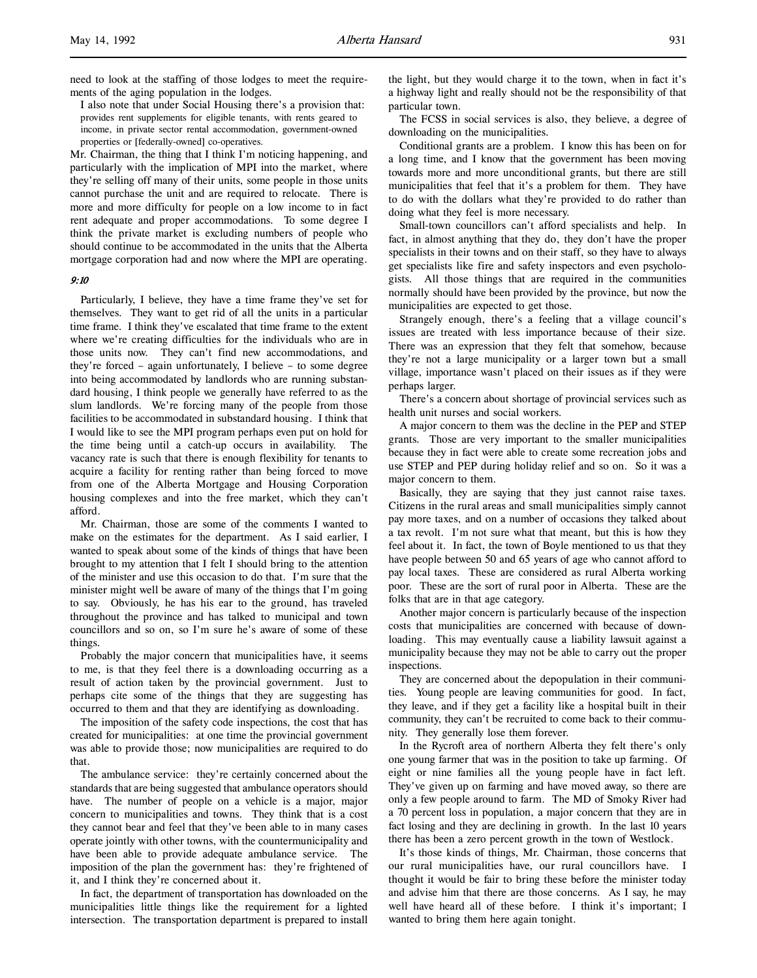l,

need to look at the staffing of those lodges to meet the requirements of the aging population in the lodges.

I also note that under Social Housing there's a provision that: provides rent supplements for eligible tenants, with rents geared to income, in private sector rental accommodation, government-owned properties or [federally-owned] co-operatives.

Mr. Chairman, the thing that I think I'm noticing happening, and particularly with the implication of MPI into the market, where they're selling off many of their units, some people in those units cannot purchase the unit and are required to relocate. There is more and more difficulty for people on a low income to in fact rent adequate and proper accommodations. To some degree I think the private market is excluding numbers of people who should continue to be accommodated in the units that the Alberta mortgage corporation had and now where the MPI are operating.

### 9:10

Particularly, I believe, they have a time frame they've set for themselves. They want to get rid of all the units in a particular time frame. I think they've escalated that time frame to the extent where we're creating difficulties for the individuals who are in those units now. They can't find new accommodations, and they're forced – again unfortunately, I believe – to some degree into being accommodated by landlords who are running substandard housing, I think people we generally have referred to as the slum landlords. We're forcing many of the people from those facilities to be accommodated in substandard housing. I think that I would like to see the MPI program perhaps even put on hold for the time being until a catch-up occurs in availability. The vacancy rate is such that there is enough flexibility for tenants to acquire a facility for renting rather than being forced to move from one of the Alberta Mortgage and Housing Corporation housing complexes and into the free market, which they can't afford.

Mr. Chairman, those are some of the comments I wanted to make on the estimates for the department. As I said earlier, I wanted to speak about some of the kinds of things that have been brought to my attention that I felt I should bring to the attention of the minister and use this occasion to do that. I'm sure that the minister might well be aware of many of the things that I'm going to say. Obviously, he has his ear to the ground, has traveled throughout the province and has talked to municipal and town councillors and so on, so I'm sure he's aware of some of these things.

Probably the major concern that municipalities have, it seems to me, is that they feel there is a downloading occurring as a result of action taken by the provincial government. Just to perhaps cite some of the things that they are suggesting has occurred to them and that they are identifying as downloading.

The imposition of the safety code inspections, the cost that has created for municipalities: at one time the provincial government was able to provide those; now municipalities are required to do that.

The ambulance service: they're certainly concerned about the standards that are being suggested that ambulance operators should have. The number of people on a vehicle is a major, major concern to municipalities and towns. They think that is a cost they cannot bear and feel that they've been able to in many cases operate jointly with other towns, with the countermunicipality and have been able to provide adequate ambulance service. The imposition of the plan the government has: they're frightened of it, and I think they're concerned about it.

In fact, the department of transportation has downloaded on the municipalities little things like the requirement for a lighted intersection. The transportation department is prepared to install the light, but they would charge it to the town, when in fact it's a highway light and really should not be the responsibility of that particular town.

The FCSS in social services is also, they believe, a degree of downloading on the municipalities.

Conditional grants are a problem. I know this has been on for a long time, and I know that the government has been moving towards more and more unconditional grants, but there are still municipalities that feel that it's a problem for them. They have to do with the dollars what they're provided to do rather than doing what they feel is more necessary.

Small-town councillors can't afford specialists and help. In fact, in almost anything that they do, they don't have the proper specialists in their towns and on their staff, so they have to always get specialists like fire and safety inspectors and even psychologists. All those things that are required in the communities normally should have been provided by the province, but now the municipalities are expected to get those.

Strangely enough, there's a feeling that a village council's issues are treated with less importance because of their size. There was an expression that they felt that somehow, because they're not a large municipality or a larger town but a small village, importance wasn't placed on their issues as if they were perhaps larger.

There's a concern about shortage of provincial services such as health unit nurses and social workers.

A major concern to them was the decline in the PEP and STEP grants. Those are very important to the smaller municipalities because they in fact were able to create some recreation jobs and use STEP and PEP during holiday relief and so on. So it was a major concern to them.

Basically, they are saying that they just cannot raise taxes. Citizens in the rural areas and small municipalities simply cannot pay more taxes, and on a number of occasions they talked about a tax revolt. I'm not sure what that meant, but this is how they feel about it. In fact, the town of Boyle mentioned to us that they have people between 50 and 65 years of age who cannot afford to pay local taxes. These are considered as rural Alberta working poor. These are the sort of rural poor in Alberta. These are the folks that are in that age category.

Another major concern is particularly because of the inspection costs that municipalities are concerned with because of downloading. This may eventually cause a liability lawsuit against a municipality because they may not be able to carry out the proper inspections.

They are concerned about the depopulation in their communities. Young people are leaving communities for good. In fact, they leave, and if they get a facility like a hospital built in their community, they can't be recruited to come back to their community. They generally lose them forever.

In the Rycroft area of northern Alberta they felt there's only one young farmer that was in the position to take up farming. Of eight or nine families all the young people have in fact left. They've given up on farming and have moved away, so there are only a few people around to farm. The MD of Smoky River had a 70 percent loss in population, a major concern that they are in fact losing and they are declining in growth. In the last 10 years there has been a zero percent growth in the town of Westlock.

It's those kinds of things, Mr. Chairman, those concerns that our rural municipalities have, our rural councillors have. I thought it would be fair to bring these before the minister today and advise him that there are those concerns. As I say, he may well have heard all of these before. I think it's important; I wanted to bring them here again tonight.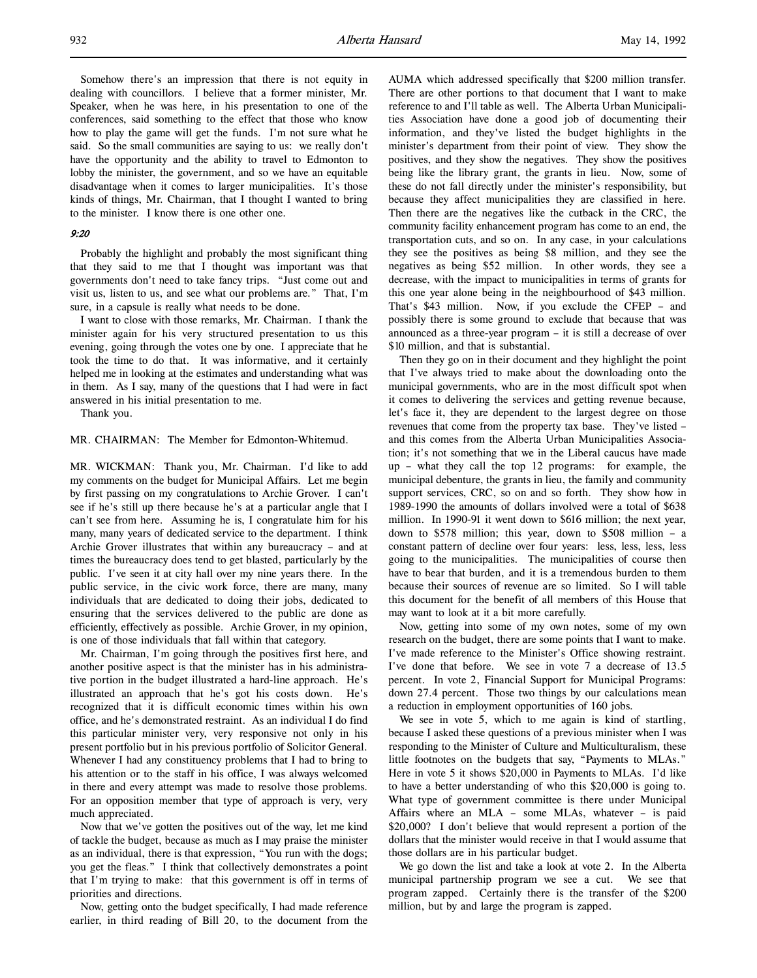Somehow there's an impression that there is not equity in dealing with councillors. I believe that a former minister, Mr. Speaker, when he was here, in his presentation to one of the conferences, said something to the effect that those who know how to play the game will get the funds. I'm not sure what he said. So the small communities are saying to us: we really don't have the opportunity and the ability to travel to Edmonton to lobby the minister, the government, and so we have an equitable disadvantage when it comes to larger municipalities. It's those kinds of things, Mr. Chairman, that I thought I wanted to bring to the minister. I know there is one other one.

### 9:20

Probably the highlight and probably the most significant thing that they said to me that I thought was important was that governments don't need to take fancy trips. "Just come out and visit us, listen to us, and see what our problems are." That, I'm sure, in a capsule is really what needs to be done.

I want to close with those remarks, Mr. Chairman. I thank the minister again for his very structured presentation to us this evening, going through the votes one by one. I appreciate that he took the time to do that. It was informative, and it certainly helped me in looking at the estimates and understanding what was in them. As I say, many of the questions that I had were in fact answered in his initial presentation to me.

Thank you.

### MR. CHAIRMAN: The Member for Edmonton-Whitemud.

MR. WICKMAN: Thank you, Mr. Chairman. I'd like to add my comments on the budget for Municipal Affairs. Let me begin by first passing on my congratulations to Archie Grover. I can't see if he's still up there because he's at a particular angle that I can't see from here. Assuming he is, I congratulate him for his many, many years of dedicated service to the department. I think Archie Grover illustrates that within any bureaucracy – and at times the bureaucracy does tend to get blasted, particularly by the public. I've seen it at city hall over my nine years there. In the public service, in the civic work force, there are many, many individuals that are dedicated to doing their jobs, dedicated to ensuring that the services delivered to the public are done as efficiently, effectively as possible. Archie Grover, in my opinion, is one of those individuals that fall within that category.

Mr. Chairman, I'm going through the positives first here, and another positive aspect is that the minister has in his administrative portion in the budget illustrated a hard-line approach. He's illustrated an approach that he's got his costs down. He's recognized that it is difficult economic times within his own office, and he's demonstrated restraint. As an individual I do find this particular minister very, very responsive not only in his present portfolio but in his previous portfolio of Solicitor General. Whenever I had any constituency problems that I had to bring to his attention or to the staff in his office, I was always welcomed in there and every attempt was made to resolve those problems. For an opposition member that type of approach is very, very much appreciated.

Now that we've gotten the positives out of the way, let me kind of tackle the budget, because as much as I may praise the minister as an individual, there is that expression, "You run with the dogs; you get the fleas." I think that collectively demonstrates a point that I'm trying to make: that this government is off in terms of priorities and directions.

Now, getting onto the budget specifically, I had made reference earlier, in third reading of Bill 20, to the document from the

AUMA which addressed specifically that \$200 million transfer. There are other portions to that document that I want to make reference to and I'll table as well. The Alberta Urban Municipalities Association have done a good job of documenting their information, and they've listed the budget highlights in the minister's department from their point of view. They show the positives, and they show the negatives. They show the positives being like the library grant, the grants in lieu. Now, some of these do not fall directly under the minister's responsibility, but because they affect municipalities they are classified in here. Then there are the negatives like the cutback in the CRC, the community facility enhancement program has come to an end, the transportation cuts, and so on. In any case, in your calculations they see the positives as being \$8 million, and they see the negatives as being \$52 million. In other words, they see a decrease, with the impact to municipalities in terms of grants for this one year alone being in the neighbourhood of \$43 million. That's \$43 million. Now, if you exclude the CFEP – and possibly there is some ground to exclude that because that was announced as a three-year program – it is still a decrease of over \$10 million, and that is substantial.

Then they go on in their document and they highlight the point that I've always tried to make about the downloading onto the municipal governments, who are in the most difficult spot when it comes to delivering the services and getting revenue because, let's face it, they are dependent to the largest degree on those revenues that come from the property tax base. They've listed – and this comes from the Alberta Urban Municipalities Association; it's not something that we in the Liberal caucus have made up – what they call the top 12 programs: for example, the municipal debenture, the grants in lieu, the family and community support services, CRC, so on and so forth. They show how in 1989-1990 the amounts of dollars involved were a total of \$638 million. In 1990-91 it went down to \$616 million; the next year, down to \$578 million; this year, down to \$508 million – a constant pattern of decline over four years: less, less, less, less going to the municipalities. The municipalities of course then have to bear that burden, and it is a tremendous burden to them because their sources of revenue are so limited. So I will table this document for the benefit of all members of this House that may want to look at it a bit more carefully.

Now, getting into some of my own notes, some of my own research on the budget, there are some points that I want to make. I've made reference to the Minister's Office showing restraint. I've done that before. We see in vote 7 a decrease of 13.5 percent. In vote 2, Financial Support for Municipal Programs: down 27.4 percent. Those two things by our calculations mean a reduction in employment opportunities of 160 jobs.

We see in vote 5, which to me again is kind of startling, because I asked these questions of a previous minister when I was responding to the Minister of Culture and Multiculturalism, these little footnotes on the budgets that say, "Payments to MLAs." Here in vote 5 it shows \$20,000 in Payments to MLAs. I'd like to have a better understanding of who this \$20,000 is going to. What type of government committee is there under Municipal Affairs where an MLA – some MLAs, whatever – is paid \$20,000? I don't believe that would represent a portion of the dollars that the minister would receive in that I would assume that those dollars are in his particular budget.

We go down the list and take a look at vote 2. In the Alberta municipal partnership program we see a cut. We see that program zapped. Certainly there is the transfer of the \$200 million, but by and large the program is zapped.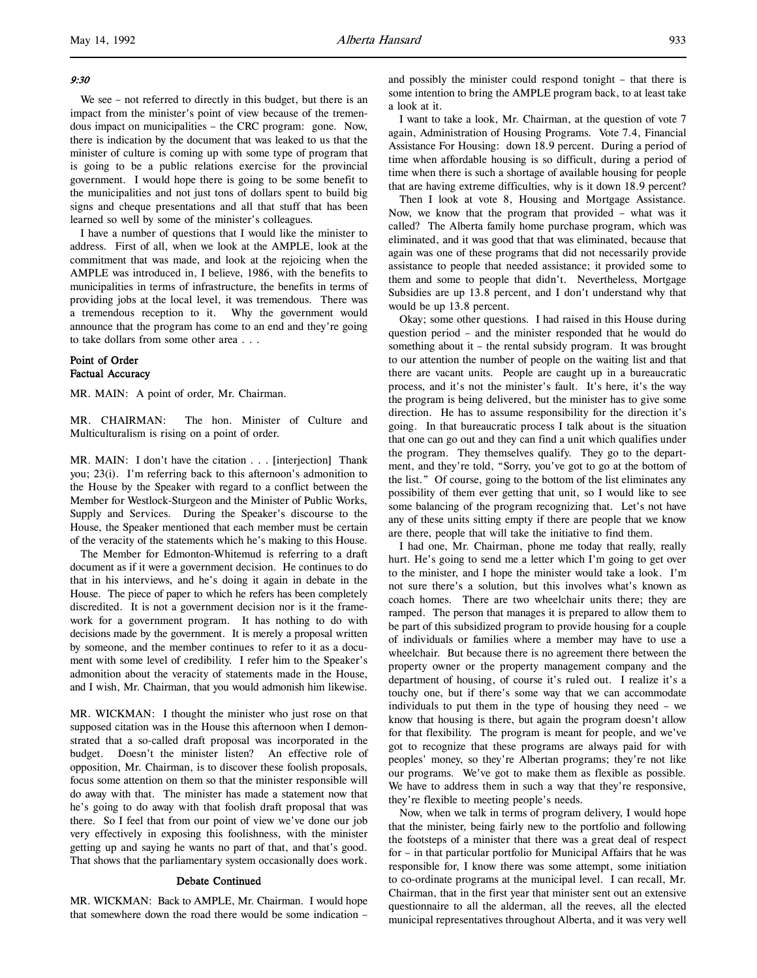# 9:30

l,

We see – not referred to directly in this budget, but there is an impact from the minister's point of view because of the tremendous impact on municipalities – the CRC program: gone. Now, there is indication by the document that was leaked to us that the minister of culture is coming up with some type of program that is going to be a public relations exercise for the provincial government. I would hope there is going to be some benefit to the municipalities and not just tons of dollars spent to build big signs and cheque presentations and all that stuff that has been learned so well by some of the minister's colleagues.

I have a number of questions that I would like the minister to address. First of all, when we look at the AMPLE, look at the commitment that was made, and look at the rejoicing when the AMPLE was introduced in, I believe, 1986, with the benefits to municipalities in terms of infrastructure, the benefits in terms of providing jobs at the local level, it was tremendous. There was a tremendous reception to it. Why the government would announce that the program has come to an end and they're going to take dollars from some other area . . .

## Point of Order Factual Accuracy

MR. MAIN: A point of order, Mr. Chairman.

MR. CHAIRMAN: The hon. Minister of Culture and Multiculturalism is rising on a point of order.

MR. MAIN: I don't have the citation . . . [interjection] Thank you; 23(i). I'm referring back to this afternoon's admonition to the House by the Speaker with regard to a conflict between the Member for Westlock-Sturgeon and the Minister of Public Works, Supply and Services. During the Speaker's discourse to the House, the Speaker mentioned that each member must be certain of the veracity of the statements which he's making to this House.

The Member for Edmonton-Whitemud is referring to a draft document as if it were a government decision. He continues to do that in his interviews, and he's doing it again in debate in the House. The piece of paper to which he refers has been completely discredited. It is not a government decision nor is it the framework for a government program. It has nothing to do with decisions made by the government. It is merely a proposal written by someone, and the member continues to refer to it as a document with some level of credibility. I refer him to the Speaker's admonition about the veracity of statements made in the House, and I wish, Mr. Chairman, that you would admonish him likewise.

MR. WICKMAN: I thought the minister who just rose on that supposed citation was in the House this afternoon when I demonstrated that a so-called draft proposal was incorporated in the budget. Doesn't the minister listen? An effective role of opposition, Mr. Chairman, is to discover these foolish proposals, focus some attention on them so that the minister responsible will do away with that. The minister has made a statement now that he's going to do away with that foolish draft proposal that was there. So I feel that from our point of view we've done our job very effectively in exposing this foolishness, with the minister getting up and saying he wants no part of that, and that's good. That shows that the parliamentary system occasionally does work.

### Debate Continued

MR. WICKMAN: Back to AMPLE, Mr. Chairman. I would hope that somewhere down the road there would be some indication –

and possibly the minister could respond tonight – that there is some intention to bring the AMPLE program back, to at least take a look at it.

I want to take a look, Mr. Chairman, at the question of vote 7 again, Administration of Housing Programs. Vote 7.4, Financial Assistance For Housing: down 18.9 percent. During a period of time when affordable housing is so difficult, during a period of time when there is such a shortage of available housing for people that are having extreme difficulties, why is it down 18.9 percent?

Then I look at vote 8, Housing and Mortgage Assistance. Now, we know that the program that provided – what was it called? The Alberta family home purchase program, which was eliminated, and it was good that that was eliminated, because that again was one of these programs that did not necessarily provide assistance to people that needed assistance; it provided some to them and some to people that didn't. Nevertheless, Mortgage Subsidies are up 13.8 percent, and I don't understand why that would be up 13.8 percent.

Okay; some other questions. I had raised in this House during question period – and the minister responded that he would do something about it – the rental subsidy program. It was brought to our attention the number of people on the waiting list and that there are vacant units. People are caught up in a bureaucratic process, and it's not the minister's fault. It's here, it's the way the program is being delivered, but the minister has to give some direction. He has to assume responsibility for the direction it's going. In that bureaucratic process I talk about is the situation that one can go out and they can find a unit which qualifies under the program. They themselves qualify. They go to the department, and they're told, "Sorry, you've got to go at the bottom of the list." Of course, going to the bottom of the list eliminates any possibility of them ever getting that unit, so I would like to see some balancing of the program recognizing that. Let's not have any of these units sitting empty if there are people that we know are there, people that will take the initiative to find them.

I had one, Mr. Chairman, phone me today that really, really hurt. He's going to send me a letter which I'm going to get over to the minister, and I hope the minister would take a look. I'm not sure there's a solution, but this involves what's known as coach homes. There are two wheelchair units there; they are ramped. The person that manages it is prepared to allow them to be part of this subsidized program to provide housing for a couple of individuals or families where a member may have to use a wheelchair. But because there is no agreement there between the property owner or the property management company and the department of housing, of course it's ruled out. I realize it's a touchy one, but if there's some way that we can accommodate individuals to put them in the type of housing they need – we know that housing is there, but again the program doesn't allow for that flexibility. The program is meant for people, and we've got to recognize that these programs are always paid for with peoples' money, so they're Albertan programs; they're not like our programs. We've got to make them as flexible as possible. We have to address them in such a way that they're responsive, they're flexible to meeting people's needs.

Now, when we talk in terms of program delivery, I would hope that the minister, being fairly new to the portfolio and following the footsteps of a minister that there was a great deal of respect for – in that particular portfolio for Municipal Affairs that he was responsible for, I know there was some attempt, some initiation to co-ordinate programs at the municipal level. I can recall, Mr. Chairman, that in the first year that minister sent out an extensive questionnaire to all the alderman, all the reeves, all the elected municipal representatives throughout Alberta, and it was very well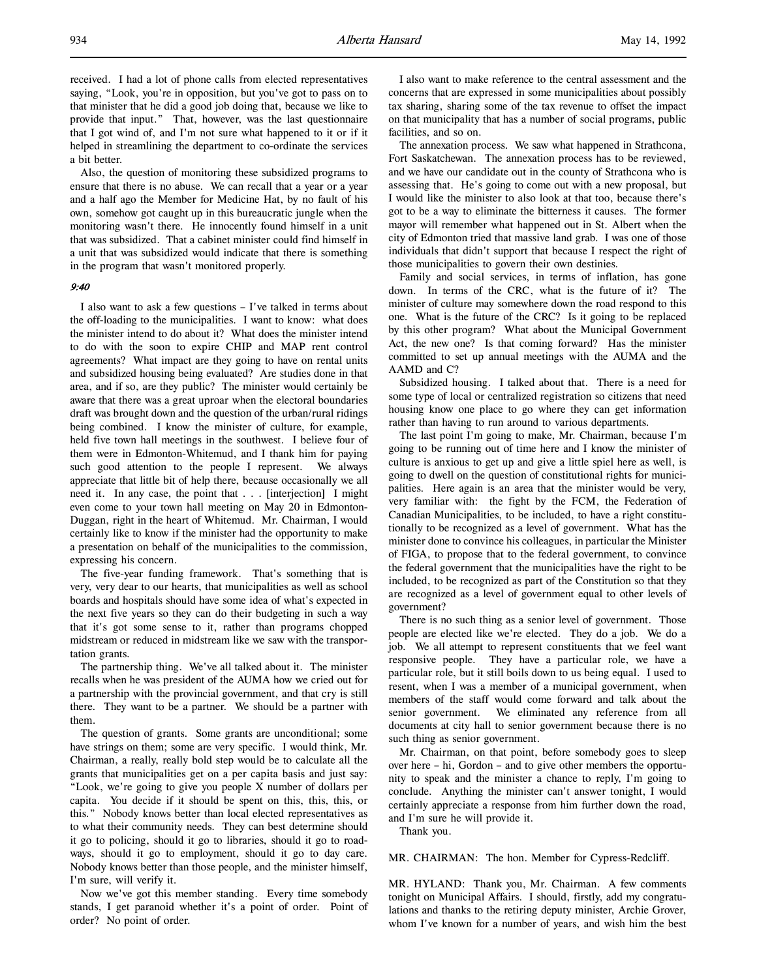received. I had a lot of phone calls from elected representatives saying, "Look, you're in opposition, but you've got to pass on to that minister that he did a good job doing that, because we like to provide that input." That, however, was the last questionnaire that I got wind of, and I'm not sure what happened to it or if it helped in streamlining the department to co-ordinate the services a bit better.

Also, the question of monitoring these subsidized programs to ensure that there is no abuse. We can recall that a year or a year and a half ago the Member for Medicine Hat, by no fault of his own, somehow got caught up in this bureaucratic jungle when the monitoring wasn't there. He innocently found himself in a unit that was subsidized. That a cabinet minister could find himself in a unit that was subsidized would indicate that there is something in the program that wasn't monitored properly.

### 9:40

I also want to ask a few questions – I've talked in terms about the off-loading to the municipalities. I want to know: what does the minister intend to do about it? What does the minister intend to do with the soon to expire CHIP and MAP rent control agreements? What impact are they going to have on rental units and subsidized housing being evaluated? Are studies done in that area, and if so, are they public? The minister would certainly be aware that there was a great uproar when the electoral boundaries draft was brought down and the question of the urban/rural ridings being combined. I know the minister of culture, for example, held five town hall meetings in the southwest. I believe four of them were in Edmonton-Whitemud, and I thank him for paying such good attention to the people I represent. We always appreciate that little bit of help there, because occasionally we all need it. In any case, the point that . . . [interjection] I might even come to your town hall meeting on May 20 in Edmonton-Duggan, right in the heart of Whitemud. Mr. Chairman, I would certainly like to know if the minister had the opportunity to make a presentation on behalf of the municipalities to the commission, expressing his concern.

The five-year funding framework. That's something that is very, very dear to our hearts, that municipalities as well as school boards and hospitals should have some idea of what's expected in the next five years so they can do their budgeting in such a way that it's got some sense to it, rather than programs chopped midstream or reduced in midstream like we saw with the transportation grants.

The partnership thing. We've all talked about it. The minister recalls when he was president of the AUMA how we cried out for a partnership with the provincial government, and that cry is still there. They want to be a partner. We should be a partner with them.

The question of grants. Some grants are unconditional; some have strings on them; some are very specific. I would think, Mr. Chairman, a really, really bold step would be to calculate all the grants that municipalities get on a per capita basis and just say: "Look, we're going to give you people X number of dollars per capita. You decide if it should be spent on this, this, this, or this." Nobody knows better than local elected representatives as to what their community needs. They can best determine should it go to policing, should it go to libraries, should it go to roadways, should it go to employment, should it go to day care. Nobody knows better than those people, and the minister himself, I'm sure, will verify it.

Now we've got this member standing. Every time somebody stands, I get paranoid whether it's a point of order. Point of order? No point of order.

I also want to make reference to the central assessment and the concerns that are expressed in some municipalities about possibly tax sharing, sharing some of the tax revenue to offset the impact on that municipality that has a number of social programs, public facilities, and so on.

The annexation process. We saw what happened in Strathcona, Fort Saskatchewan. The annexation process has to be reviewed, and we have our candidate out in the county of Strathcona who is assessing that. He's going to come out with a new proposal, but I would like the minister to also look at that too, because there's got to be a way to eliminate the bitterness it causes. The former mayor will remember what happened out in St. Albert when the city of Edmonton tried that massive land grab. I was one of those individuals that didn't support that because I respect the right of those municipalities to govern their own destinies.

Family and social services, in terms of inflation, has gone down. In terms of the CRC, what is the future of it? The minister of culture may somewhere down the road respond to this one. What is the future of the CRC? Is it going to be replaced by this other program? What about the Municipal Government Act, the new one? Is that coming forward? Has the minister committed to set up annual meetings with the AUMA and the AAMD and C?

Subsidized housing. I talked about that. There is a need for some type of local or centralized registration so citizens that need housing know one place to go where they can get information rather than having to run around to various departments.

The last point I'm going to make, Mr. Chairman, because I'm going to be running out of time here and I know the minister of culture is anxious to get up and give a little spiel here as well, is going to dwell on the question of constitutional rights for municipalities. Here again is an area that the minister would be very, very familiar with: the fight by the FCM, the Federation of Canadian Municipalities, to be included, to have a right constitutionally to be recognized as a level of government. What has the minister done to convince his colleagues, in particular the Minister of FIGA, to propose that to the federal government, to convince the federal government that the municipalities have the right to be included, to be recognized as part of the Constitution so that they are recognized as a level of government equal to other levels of government?

There is no such thing as a senior level of government. Those people are elected like we're elected. They do a job. We do a job. We all attempt to represent constituents that we feel want responsive people. They have a particular role, we have a particular role, but it still boils down to us being equal. I used to resent, when I was a member of a municipal government, when members of the staff would come forward and talk about the senior government. We eliminated any reference from all documents at city hall to senior government because there is no such thing as senior government.

Mr. Chairman, on that point, before somebody goes to sleep over here – hi, Gordon – and to give other members the opportunity to speak and the minister a chance to reply, I'm going to conclude. Anything the minister can't answer tonight, I would certainly appreciate a response from him further down the road, and I'm sure he will provide it.

Thank you.

MR. CHAIRMAN: The hon. Member for Cypress-Redcliff.

MR. HYLAND: Thank you, Mr. Chairman. A few comments tonight on Municipal Affairs. I should, firstly, add my congratulations and thanks to the retiring deputy minister, Archie Grover, whom I've known for a number of years, and wish him the best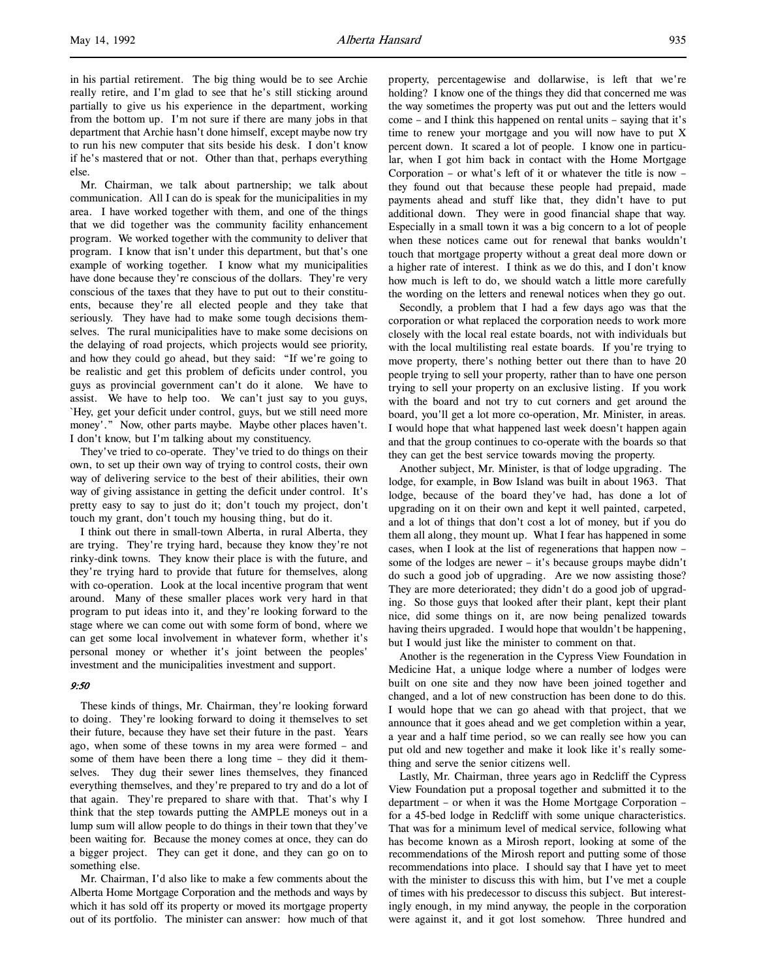in his partial retirement. The big thing would be to see Archie really retire, and I'm glad to see that he's still sticking around partially to give us his experience in the department, working from the bottom up. I'm not sure if there are many jobs in that department that Archie hasn't done himself, except maybe now try to run his new computer that sits beside his desk. I don't know if he's mastered that or not. Other than that, perhaps everything else.

Mr. Chairman, we talk about partnership; we talk about communication. All I can do is speak for the municipalities in my area. I have worked together with them, and one of the things that we did together was the community facility enhancement program. We worked together with the community to deliver that program. I know that isn't under this department, but that's one example of working together. I know what my municipalities have done because they're conscious of the dollars. They're very conscious of the taxes that they have to put out to their constituents, because they're all elected people and they take that seriously. They have had to make some tough decisions themselves. The rural municipalities have to make some decisions on the delaying of road projects, which projects would see priority, and how they could go ahead, but they said: "If we're going to be realistic and get this problem of deficits under control, you guys as provincial government can't do it alone. We have to assist. We have to help too. We can't just say to you guys, `Hey, get your deficit under control, guys, but we still need more money'." Now, other parts maybe. Maybe other places haven't. I don't know, but I'm talking about my constituency.

They've tried to co-operate. They've tried to do things on their own, to set up their own way of trying to control costs, their own way of delivering service to the best of their abilities, their own way of giving assistance in getting the deficit under control. It's pretty easy to say to just do it; don't touch my project, don't touch my grant, don't touch my housing thing, but do it.

I think out there in small-town Alberta, in rural Alberta, they are trying. They're trying hard, because they know they're not rinky-dink towns. They know their place is with the future, and they're trying hard to provide that future for themselves, along with co-operation. Look at the local incentive program that went around. Many of these smaller places work very hard in that program to put ideas into it, and they're looking forward to the stage where we can come out with some form of bond, where we can get some local involvement in whatever form, whether it's personal money or whether it's joint between the peoples' investment and the municipalities investment and support.

# 9:50

These kinds of things, Mr. Chairman, they're looking forward to doing. They're looking forward to doing it themselves to set their future, because they have set their future in the past. Years ago, when some of these towns in my area were formed – and some of them have been there a long time – they did it themselves. They dug their sewer lines themselves, they financed everything themselves, and they're prepared to try and do a lot of that again. They're prepared to share with that. That's why I think that the step towards putting the AMPLE moneys out in a lump sum will allow people to do things in their town that they've been waiting for. Because the money comes at once, they can do a bigger project. They can get it done, and they can go on to something else.

Mr. Chairman, I'd also like to make a few comments about the Alberta Home Mortgage Corporation and the methods and ways by which it has sold off its property or moved its mortgage property out of its portfolio. The minister can answer: how much of that property, percentagewise and dollarwise, is left that we're holding? I know one of the things they did that concerned me was the way sometimes the property was put out and the letters would come – and I think this happened on rental units – saying that it's time to renew your mortgage and you will now have to put X percent down. It scared a lot of people. I know one in particular, when I got him back in contact with the Home Mortgage Corporation – or what's left of it or whatever the title is now – they found out that because these people had prepaid, made payments ahead and stuff like that, they didn't have to put additional down. They were in good financial shape that way. Especially in a small town it was a big concern to a lot of people when these notices came out for renewal that banks wouldn't touch that mortgage property without a great deal more down or a higher rate of interest. I think as we do this, and I don't know how much is left to do, we should watch a little more carefully the wording on the letters and renewal notices when they go out.

Secondly, a problem that I had a few days ago was that the corporation or what replaced the corporation needs to work more closely with the local real estate boards, not with individuals but with the local multilisting real estate boards. If you're trying to move property, there's nothing better out there than to have 20 people trying to sell your property, rather than to have one person trying to sell your property on an exclusive listing. If you work with the board and not try to cut corners and get around the board, you'll get a lot more co-operation, Mr. Minister, in areas. I would hope that what happened last week doesn't happen again and that the group continues to co-operate with the boards so that they can get the best service towards moving the property.

Another subject, Mr. Minister, is that of lodge upgrading. The lodge, for example, in Bow Island was built in about 1963. That lodge, because of the board they've had, has done a lot of upgrading on it on their own and kept it well painted, carpeted, and a lot of things that don't cost a lot of money, but if you do them all along, they mount up. What I fear has happened in some cases, when I look at the list of regenerations that happen now – some of the lodges are newer – it's because groups maybe didn't do such a good job of upgrading. Are we now assisting those? They are more deteriorated; they didn't do a good job of upgrading. So those guys that looked after their plant, kept their plant nice, did some things on it, are now being penalized towards having theirs upgraded. I would hope that wouldn't be happening, but I would just like the minister to comment on that.

Another is the regeneration in the Cypress View Foundation in Medicine Hat, a unique lodge where a number of lodges were built on one site and they now have been joined together and changed, and a lot of new construction has been done to do this. I would hope that we can go ahead with that project, that we announce that it goes ahead and we get completion within a year, a year and a half time period, so we can really see how you can put old and new together and make it look like it's really something and serve the senior citizens well.

Lastly, Mr. Chairman, three years ago in Redcliff the Cypress View Foundation put a proposal together and submitted it to the department – or when it was the Home Mortgage Corporation – for a 45-bed lodge in Redcliff with some unique characteristics. That was for a minimum level of medical service, following what has become known as a Mirosh report, looking at some of the recommendations of the Mirosh report and putting some of those recommendations into place. I should say that I have yet to meet with the minister to discuss this with him, but I've met a couple of times with his predecessor to discuss this subject. But interestingly enough, in my mind anyway, the people in the corporation were against it, and it got lost somehow. Three hundred and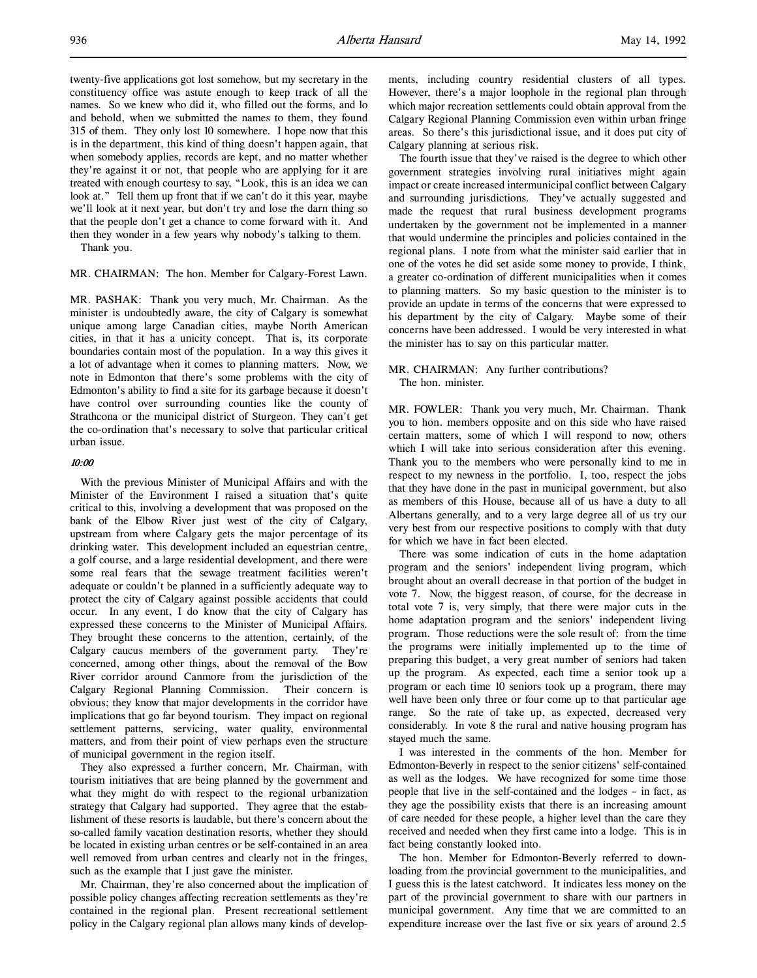and behold, when we submitted the names to them, they found 315 of them. They only lost 10 somewhere. I hope now that this is in the department, this kind of thing doesn't happen again, that when somebody applies, records are kept, and no matter whether they're against it or not, that people who are applying for it are treated with enough courtesy to say, "Look, this is an idea we can look at." Tell them up front that if we can't do it this year, maybe we'll look at it next year, but don't try and lose the darn thing so that the people don't get a chance to come forward with it. And then they wonder in a few years why nobody's talking to them.

Thank you.

MR. CHAIRMAN: The hon. Member for Calgary-Forest Lawn.

MR. PASHAK: Thank you very much, Mr. Chairman. As the minister is undoubtedly aware, the city of Calgary is somewhat unique among large Canadian cities, maybe North American cities, in that it has a unicity concept. That is, its corporate boundaries contain most of the population. In a way this gives it a lot of advantage when it comes to planning matters. Now, we note in Edmonton that there's some problems with the city of Edmonton's ability to find a site for its garbage because it doesn't have control over surrounding counties like the county of Strathcona or the municipal district of Sturgeon. They can't get the co-ordination that's necessary to solve that particular critical urban issue.

### 10:00

With the previous Minister of Municipal Affairs and with the Minister of the Environment I raised a situation that's quite critical to this, involving a development that was proposed on the bank of the Elbow River just west of the city of Calgary, upstream from where Calgary gets the major percentage of its drinking water. This development included an equestrian centre, a golf course, and a large residential development, and there were some real fears that the sewage treatment facilities weren't adequate or couldn't be planned in a sufficiently adequate way to protect the city of Calgary against possible accidents that could occur. In any event, I do know that the city of Calgary has expressed these concerns to the Minister of Municipal Affairs. They brought these concerns to the attention, certainly, of the Calgary caucus members of the government party. They're concerned, among other things, about the removal of the Bow River corridor around Canmore from the jurisdiction of the Calgary Regional Planning Commission. Their concern is obvious; they know that major developments in the corridor have implications that go far beyond tourism. They impact on regional settlement patterns, servicing, water quality, environmental matters, and from their point of view perhaps even the structure of municipal government in the region itself.

They also expressed a further concern, Mr. Chairman, with tourism initiatives that are being planned by the government and what they might do with respect to the regional urbanization strategy that Calgary had supported. They agree that the establishment of these resorts is laudable, but there's concern about the so-called family vacation destination resorts, whether they should be located in existing urban centres or be self-contained in an area well removed from urban centres and clearly not in the fringes, such as the example that I just gave the minister.

Mr. Chairman, they're also concerned about the implication of possible policy changes affecting recreation settlements as they're contained in the regional plan. Present recreational settlement policy in the Calgary regional plan allows many kinds of developments, including country residential clusters of all types. However, there's a major loophole in the regional plan through which major recreation settlements could obtain approval from the Calgary Regional Planning Commission even within urban fringe areas. So there's this jurisdictional issue, and it does put city of Calgary planning at serious risk.

The fourth issue that they've raised is the degree to which other government strategies involving rural initiatives might again impact or create increased intermunicipal conflict between Calgary and surrounding jurisdictions. They've actually suggested and made the request that rural business development programs undertaken by the government not be implemented in a manner that would undermine the principles and policies contained in the regional plans. I note from what the minister said earlier that in one of the votes he did set aside some money to provide, I think, a greater co-ordination of different municipalities when it comes to planning matters. So my basic question to the minister is to provide an update in terms of the concerns that were expressed to his department by the city of Calgary. Maybe some of their concerns have been addressed. I would be very interested in what the minister has to say on this particular matter.

#### MR. CHAIRMAN: Any further contributions? The hon. minister.

MR. FOWLER: Thank you very much, Mr. Chairman. Thank you to hon. members opposite and on this side who have raised certain matters, some of which I will respond to now, others which I will take into serious consideration after this evening. Thank you to the members who were personally kind to me in respect to my newness in the portfolio. I, too, respect the jobs that they have done in the past in municipal government, but also as members of this House, because all of us have a duty to all Albertans generally, and to a very large degree all of us try our very best from our respective positions to comply with that duty for which we have in fact been elected.

There was some indication of cuts in the home adaptation program and the seniors' independent living program, which brought about an overall decrease in that portion of the budget in vote 7. Now, the biggest reason, of course, for the decrease in total vote 7 is, very simply, that there were major cuts in the home adaptation program and the seniors' independent living program. Those reductions were the sole result of: from the time the programs were initially implemented up to the time of preparing this budget, a very great number of seniors had taken up the program. As expected, each time a senior took up a program or each time 10 seniors took up a program, there may well have been only three or four come up to that particular age range. So the rate of take up, as expected, decreased very considerably. In vote 8 the rural and native housing program has stayed much the same.

I was interested in the comments of the hon. Member for Edmonton-Beverly in respect to the senior citizens' self-contained as well as the lodges. We have recognized for some time those people that live in the self-contained and the lodges – in fact, as they age the possibility exists that there is an increasing amount of care needed for these people, a higher level than the care they received and needed when they first came into a lodge. This is in fact being constantly looked into.

The hon. Member for Edmonton-Beverly referred to downloading from the provincial government to the municipalities, and I guess this is the latest catchword. It indicates less money on the part of the provincial government to share with our partners in municipal government. Any time that we are committed to an expenditure increase over the last five or six years of around 2.5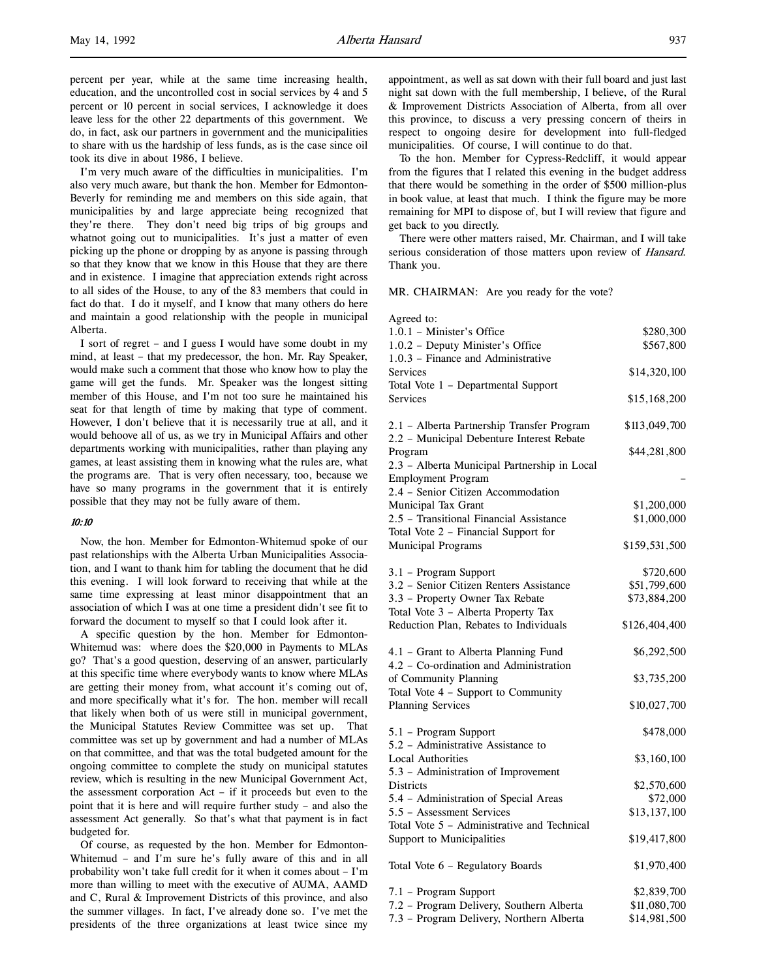percent per year, while at the same time increasing health, education, and the uncontrolled cost in social services by 4 and 5 percent or 10 percent in social services, I acknowledge it does leave less for the other 22 departments of this government. We do, in fact, ask our partners in government and the municipalities to share with us the hardship of less funds, as is the case since oil took its dive in about 1986, I believe.

I'm very much aware of the difficulties in municipalities. I'm also very much aware, but thank the hon. Member for Edmonton-Beverly for reminding me and members on this side again, that municipalities by and large appreciate being recognized that they're there. They don't need big trips of big groups and whatnot going out to municipalities. It's just a matter of even picking up the phone or dropping by as anyone is passing through so that they know that we know in this House that they are there and in existence. I imagine that appreciation extends right across to all sides of the House, to any of the 83 members that could in fact do that. I do it myself, and I know that many others do here and maintain a good relationship with the people in municipal Alberta.

I sort of regret – and I guess I would have some doubt in my mind, at least – that my predecessor, the hon. Mr. Ray Speaker, would make such a comment that those who know how to play the game will get the funds. Mr. Speaker was the longest sitting member of this House, and I'm not too sure he maintained his seat for that length of time by making that type of comment. However, I don't believe that it is necessarily true at all, and it would behoove all of us, as we try in Municipal Affairs and other departments working with municipalities, rather than playing any games, at least assisting them in knowing what the rules are, what the programs are. That is very often necessary, too, because we have so many programs in the government that it is entirely possible that they may not be fully aware of them.

## 10:10

Now, the hon. Member for Edmonton-Whitemud spoke of our past relationships with the Alberta Urban Municipalities Association, and I want to thank him for tabling the document that he did this evening. I will look forward to receiving that while at the same time expressing at least minor disappointment that an association of which I was at one time a president didn't see fit to forward the document to myself so that I could look after it.

A specific question by the hon. Member for Edmonton-Whitemud was: where does the \$20,000 in Payments to MLAs go? That's a good question, deserving of an answer, particularly at this specific time where everybody wants to know where MLAs are getting their money from, what account it's coming out of, and more specifically what it's for. The hon. member will recall that likely when both of us were still in municipal government, the Municipal Statutes Review Committee was set up. That committee was set up by government and had a number of MLAs on that committee, and that was the total budgeted amount for the ongoing committee to complete the study on municipal statutes review, which is resulting in the new Municipal Government Act, the assessment corporation Act – if it proceeds but even to the point that it is here and will require further study – and also the assessment Act generally. So that's what that payment is in fact budgeted for.

Of course, as requested by the hon. Member for Edmonton-Whitemud – and I'm sure he's fully aware of this and in all probability won't take full credit for it when it comes about – I'm more than willing to meet with the executive of AUMA, AAMD and C, Rural & Improvement Districts of this province, and also the summer villages. In fact, I've already done so. I've met the presidents of the three organizations at least twice since my

appointment, as well as sat down with their full board and just last night sat down with the full membership, I believe, of the Rural & Improvement Districts Association of Alberta, from all over this province, to discuss a very pressing concern of theirs in respect to ongoing desire for development into full-fledged municipalities. Of course, I will continue to do that.

To the hon. Member for Cypress-Redcliff, it would appear from the figures that I related this evening in the budget address that there would be something in the order of \$500 million-plus in book value, at least that much. I think the figure may be more remaining for MPI to dispose of, but I will review that figure and get back to you directly.

There were other matters raised, Mr. Chairman, and I will take serious consideration of those matters upon review of Hansard. Thank you.

MR. CHAIRMAN: Are you ready for the vote?

| 1.0.1 - Minister's Office<br>\$280,300<br>1.0.2 - Deputy Minister's Office<br>\$567,800<br>1.0.3 - Finance and Administrative<br>Services<br>\$14,320,100<br>Total Vote 1 - Departmental Support<br>Services<br>\$15,168,200<br>2.1 - Alberta Partnership Transfer Program<br>\$113,049,700<br>2.2 - Municipal Debenture Interest Rebate<br>Program<br>\$44,281,800<br>2.3 - Alberta Municipal Partnership in Local<br><b>Employment Program</b><br>2.4 - Senior Citizen Accommodation<br>Municipal Tax Grant<br>\$1,200,000<br>2.5 - Transitional Financial Assistance<br>\$1,000,000<br>Total Vote 2 - Financial Support for<br>Municipal Programs<br>\$159,531,500<br>3.1 - Program Support<br>\$720,600<br>3.2 - Senior Citizen Renters Assistance<br>\$51,799,600<br>\$73,884,200<br>3.3 - Property Owner Tax Rebate<br>Total Vote 3 - Alberta Property Tax<br>Reduction Plan, Rebates to Individuals<br>\$126,404,400<br>4.1 - Grant to Alberta Planning Fund<br>\$6,292,500<br>4.2 - Co-ordination and Administration<br>of Community Planning<br>\$3,735,200<br>Total Vote 4 - Support to Community<br><b>Planning Services</b><br>\$10,027,700<br>5.1 - Program Support<br>\$478,000<br>5.2 - Administrative Assistance to<br><b>Local Authorities</b><br>\$3,160,100<br>5.3 - Administration of Improvement<br>Districts<br>\$2,570,600<br>5.4 - Administration of Special Areas<br>\$72,000<br>5.5 - Assessment Services<br>\$13,137,100<br>Total Vote 5 - Administrative and Technical<br>Support to Municipalities<br>\$19,417,800<br>Total Vote 6 - Regulatory Boards<br>\$1,970,400<br>7.1 - Program Support<br>\$2,839,700<br>7.2 - Program Delivery, Southern Alberta<br>\$11,080,700 | Agreed to:                               |              |
|--------------------------------------------------------------------------------------------------------------------------------------------------------------------------------------------------------------------------------------------------------------------------------------------------------------------------------------------------------------------------------------------------------------------------------------------------------------------------------------------------------------------------------------------------------------------------------------------------------------------------------------------------------------------------------------------------------------------------------------------------------------------------------------------------------------------------------------------------------------------------------------------------------------------------------------------------------------------------------------------------------------------------------------------------------------------------------------------------------------------------------------------------------------------------------------------------------------------------------------------------------------------------------------------------------------------------------------------------------------------------------------------------------------------------------------------------------------------------------------------------------------------------------------------------------------------------------------------------------------------------------------------------------------------------------------------------------|------------------------------------------|--------------|
|                                                                                                                                                                                                                                                                                                                                                                                                                                                                                                                                                                                                                                                                                                                                                                                                                                                                                                                                                                                                                                                                                                                                                                                                                                                                                                                                                                                                                                                                                                                                                                                                                                                                                                        |                                          |              |
|                                                                                                                                                                                                                                                                                                                                                                                                                                                                                                                                                                                                                                                                                                                                                                                                                                                                                                                                                                                                                                                                                                                                                                                                                                                                                                                                                                                                                                                                                                                                                                                                                                                                                                        |                                          |              |
|                                                                                                                                                                                                                                                                                                                                                                                                                                                                                                                                                                                                                                                                                                                                                                                                                                                                                                                                                                                                                                                                                                                                                                                                                                                                                                                                                                                                                                                                                                                                                                                                                                                                                                        |                                          |              |
|                                                                                                                                                                                                                                                                                                                                                                                                                                                                                                                                                                                                                                                                                                                                                                                                                                                                                                                                                                                                                                                                                                                                                                                                                                                                                                                                                                                                                                                                                                                                                                                                                                                                                                        |                                          |              |
|                                                                                                                                                                                                                                                                                                                                                                                                                                                                                                                                                                                                                                                                                                                                                                                                                                                                                                                                                                                                                                                                                                                                                                                                                                                                                                                                                                                                                                                                                                                                                                                                                                                                                                        |                                          |              |
|                                                                                                                                                                                                                                                                                                                                                                                                                                                                                                                                                                                                                                                                                                                                                                                                                                                                                                                                                                                                                                                                                                                                                                                                                                                                                                                                                                                                                                                                                                                                                                                                                                                                                                        |                                          |              |
|                                                                                                                                                                                                                                                                                                                                                                                                                                                                                                                                                                                                                                                                                                                                                                                                                                                                                                                                                                                                                                                                                                                                                                                                                                                                                                                                                                                                                                                                                                                                                                                                                                                                                                        |                                          |              |
|                                                                                                                                                                                                                                                                                                                                                                                                                                                                                                                                                                                                                                                                                                                                                                                                                                                                                                                                                                                                                                                                                                                                                                                                                                                                                                                                                                                                                                                                                                                                                                                                                                                                                                        |                                          |              |
|                                                                                                                                                                                                                                                                                                                                                                                                                                                                                                                                                                                                                                                                                                                                                                                                                                                                                                                                                                                                                                                                                                                                                                                                                                                                                                                                                                                                                                                                                                                                                                                                                                                                                                        |                                          |              |
|                                                                                                                                                                                                                                                                                                                                                                                                                                                                                                                                                                                                                                                                                                                                                                                                                                                                                                                                                                                                                                                                                                                                                                                                                                                                                                                                                                                                                                                                                                                                                                                                                                                                                                        |                                          |              |
|                                                                                                                                                                                                                                                                                                                                                                                                                                                                                                                                                                                                                                                                                                                                                                                                                                                                                                                                                                                                                                                                                                                                                                                                                                                                                                                                                                                                                                                                                                                                                                                                                                                                                                        |                                          |              |
|                                                                                                                                                                                                                                                                                                                                                                                                                                                                                                                                                                                                                                                                                                                                                                                                                                                                                                                                                                                                                                                                                                                                                                                                                                                                                                                                                                                                                                                                                                                                                                                                                                                                                                        |                                          |              |
|                                                                                                                                                                                                                                                                                                                                                                                                                                                                                                                                                                                                                                                                                                                                                                                                                                                                                                                                                                                                                                                                                                                                                                                                                                                                                                                                                                                                                                                                                                                                                                                                                                                                                                        |                                          |              |
|                                                                                                                                                                                                                                                                                                                                                                                                                                                                                                                                                                                                                                                                                                                                                                                                                                                                                                                                                                                                                                                                                                                                                                                                                                                                                                                                                                                                                                                                                                                                                                                                                                                                                                        |                                          |              |
|                                                                                                                                                                                                                                                                                                                                                                                                                                                                                                                                                                                                                                                                                                                                                                                                                                                                                                                                                                                                                                                                                                                                                                                                                                                                                                                                                                                                                                                                                                                                                                                                                                                                                                        |                                          |              |
|                                                                                                                                                                                                                                                                                                                                                                                                                                                                                                                                                                                                                                                                                                                                                                                                                                                                                                                                                                                                                                                                                                                                                                                                                                                                                                                                                                                                                                                                                                                                                                                                                                                                                                        |                                          |              |
|                                                                                                                                                                                                                                                                                                                                                                                                                                                                                                                                                                                                                                                                                                                                                                                                                                                                                                                                                                                                                                                                                                                                                                                                                                                                                                                                                                                                                                                                                                                                                                                                                                                                                                        |                                          |              |
|                                                                                                                                                                                                                                                                                                                                                                                                                                                                                                                                                                                                                                                                                                                                                                                                                                                                                                                                                                                                                                                                                                                                                                                                                                                                                                                                                                                                                                                                                                                                                                                                                                                                                                        |                                          |              |
|                                                                                                                                                                                                                                                                                                                                                                                                                                                                                                                                                                                                                                                                                                                                                                                                                                                                                                                                                                                                                                                                                                                                                                                                                                                                                                                                                                                                                                                                                                                                                                                                                                                                                                        |                                          |              |
|                                                                                                                                                                                                                                                                                                                                                                                                                                                                                                                                                                                                                                                                                                                                                                                                                                                                                                                                                                                                                                                                                                                                                                                                                                                                                                                                                                                                                                                                                                                                                                                                                                                                                                        |                                          |              |
|                                                                                                                                                                                                                                                                                                                                                                                                                                                                                                                                                                                                                                                                                                                                                                                                                                                                                                                                                                                                                                                                                                                                                                                                                                                                                                                                                                                                                                                                                                                                                                                                                                                                                                        |                                          |              |
|                                                                                                                                                                                                                                                                                                                                                                                                                                                                                                                                                                                                                                                                                                                                                                                                                                                                                                                                                                                                                                                                                                                                                                                                                                                                                                                                                                                                                                                                                                                                                                                                                                                                                                        |                                          |              |
|                                                                                                                                                                                                                                                                                                                                                                                                                                                                                                                                                                                                                                                                                                                                                                                                                                                                                                                                                                                                                                                                                                                                                                                                                                                                                                                                                                                                                                                                                                                                                                                                                                                                                                        |                                          |              |
|                                                                                                                                                                                                                                                                                                                                                                                                                                                                                                                                                                                                                                                                                                                                                                                                                                                                                                                                                                                                                                                                                                                                                                                                                                                                                                                                                                                                                                                                                                                                                                                                                                                                                                        |                                          |              |
|                                                                                                                                                                                                                                                                                                                                                                                                                                                                                                                                                                                                                                                                                                                                                                                                                                                                                                                                                                                                                                                                                                                                                                                                                                                                                                                                                                                                                                                                                                                                                                                                                                                                                                        |                                          |              |
|                                                                                                                                                                                                                                                                                                                                                                                                                                                                                                                                                                                                                                                                                                                                                                                                                                                                                                                                                                                                                                                                                                                                                                                                                                                                                                                                                                                                                                                                                                                                                                                                                                                                                                        |                                          |              |
|                                                                                                                                                                                                                                                                                                                                                                                                                                                                                                                                                                                                                                                                                                                                                                                                                                                                                                                                                                                                                                                                                                                                                                                                                                                                                                                                                                                                                                                                                                                                                                                                                                                                                                        |                                          |              |
|                                                                                                                                                                                                                                                                                                                                                                                                                                                                                                                                                                                                                                                                                                                                                                                                                                                                                                                                                                                                                                                                                                                                                                                                                                                                                                                                                                                                                                                                                                                                                                                                                                                                                                        |                                          |              |
|                                                                                                                                                                                                                                                                                                                                                                                                                                                                                                                                                                                                                                                                                                                                                                                                                                                                                                                                                                                                                                                                                                                                                                                                                                                                                                                                                                                                                                                                                                                                                                                                                                                                                                        |                                          |              |
|                                                                                                                                                                                                                                                                                                                                                                                                                                                                                                                                                                                                                                                                                                                                                                                                                                                                                                                                                                                                                                                                                                                                                                                                                                                                                                                                                                                                                                                                                                                                                                                                                                                                                                        |                                          |              |
|                                                                                                                                                                                                                                                                                                                                                                                                                                                                                                                                                                                                                                                                                                                                                                                                                                                                                                                                                                                                                                                                                                                                                                                                                                                                                                                                                                                                                                                                                                                                                                                                                                                                                                        |                                          |              |
|                                                                                                                                                                                                                                                                                                                                                                                                                                                                                                                                                                                                                                                                                                                                                                                                                                                                                                                                                                                                                                                                                                                                                                                                                                                                                                                                                                                                                                                                                                                                                                                                                                                                                                        |                                          |              |
|                                                                                                                                                                                                                                                                                                                                                                                                                                                                                                                                                                                                                                                                                                                                                                                                                                                                                                                                                                                                                                                                                                                                                                                                                                                                                                                                                                                                                                                                                                                                                                                                                                                                                                        |                                          |              |
|                                                                                                                                                                                                                                                                                                                                                                                                                                                                                                                                                                                                                                                                                                                                                                                                                                                                                                                                                                                                                                                                                                                                                                                                                                                                                                                                                                                                                                                                                                                                                                                                                                                                                                        |                                          |              |
|                                                                                                                                                                                                                                                                                                                                                                                                                                                                                                                                                                                                                                                                                                                                                                                                                                                                                                                                                                                                                                                                                                                                                                                                                                                                                                                                                                                                                                                                                                                                                                                                                                                                                                        |                                          |              |
|                                                                                                                                                                                                                                                                                                                                                                                                                                                                                                                                                                                                                                                                                                                                                                                                                                                                                                                                                                                                                                                                                                                                                                                                                                                                                                                                                                                                                                                                                                                                                                                                                                                                                                        |                                          |              |
|                                                                                                                                                                                                                                                                                                                                                                                                                                                                                                                                                                                                                                                                                                                                                                                                                                                                                                                                                                                                                                                                                                                                                                                                                                                                                                                                                                                                                                                                                                                                                                                                                                                                                                        |                                          |              |
|                                                                                                                                                                                                                                                                                                                                                                                                                                                                                                                                                                                                                                                                                                                                                                                                                                                                                                                                                                                                                                                                                                                                                                                                                                                                                                                                                                                                                                                                                                                                                                                                                                                                                                        |                                          |              |
|                                                                                                                                                                                                                                                                                                                                                                                                                                                                                                                                                                                                                                                                                                                                                                                                                                                                                                                                                                                                                                                                                                                                                                                                                                                                                                                                                                                                                                                                                                                                                                                                                                                                                                        |                                          |              |
|                                                                                                                                                                                                                                                                                                                                                                                                                                                                                                                                                                                                                                                                                                                                                                                                                                                                                                                                                                                                                                                                                                                                                                                                                                                                                                                                                                                                                                                                                                                                                                                                                                                                                                        | 7.3 - Program Delivery, Northern Alberta | \$14,981,500 |